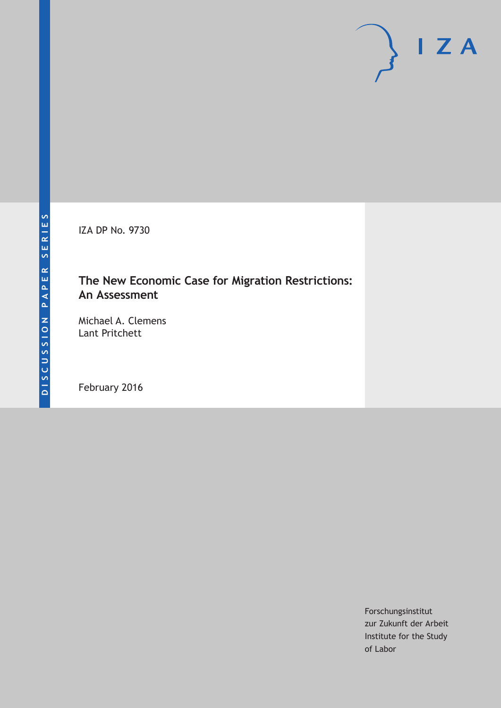IZA DP No. 9730

## **The New Economic Case for Migration Restrictions: An Assessment**

Michael A. Clemens Lant Pritchett

February 2016

Forschungsinstitut zur Zukunft der Arbeit Institute for the Study of Labor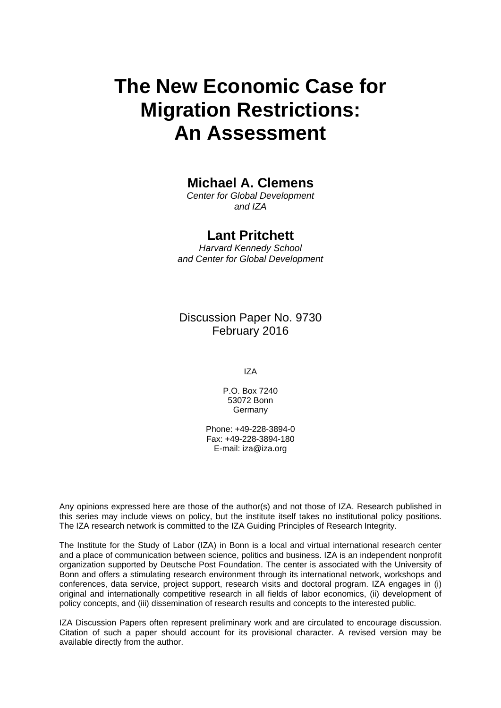# **The New Economic Case for Migration Restrictions: An Assessment**

## **Michael A. Clemens**

*Center for Global Development and IZA* 

## **Lant Pritchett**

*Harvard Kennedy School and Center for Global Development* 

Discussion Paper No. 9730 February 2016

IZA

P.O. Box 7240 53072 Bonn Germany

Phone: +49-228-3894-0 Fax: +49-228-3894-180 E-mail: iza@iza.org

Any opinions expressed here are those of the author(s) and not those of IZA. Research published in this series may include views on policy, but the institute itself takes no institutional policy positions. The IZA research network is committed to the IZA Guiding Principles of Research Integrity.

The Institute for the Study of Labor (IZA) in Bonn is a local and virtual international research center and a place of communication between science, politics and business. IZA is an independent nonprofit organization supported by Deutsche Post Foundation. The center is associated with the University of Bonn and offers a stimulating research environment through its international network, workshops and conferences, data service, project support, research visits and doctoral program. IZA engages in (i) original and internationally competitive research in all fields of labor economics, (ii) development of policy concepts, and (iii) dissemination of research results and concepts to the interested public.

IZA Discussion Papers often represent preliminary work and are circulated to encourage discussion. Citation of such a paper should account for its provisional character. A revised version may be available directly from the author.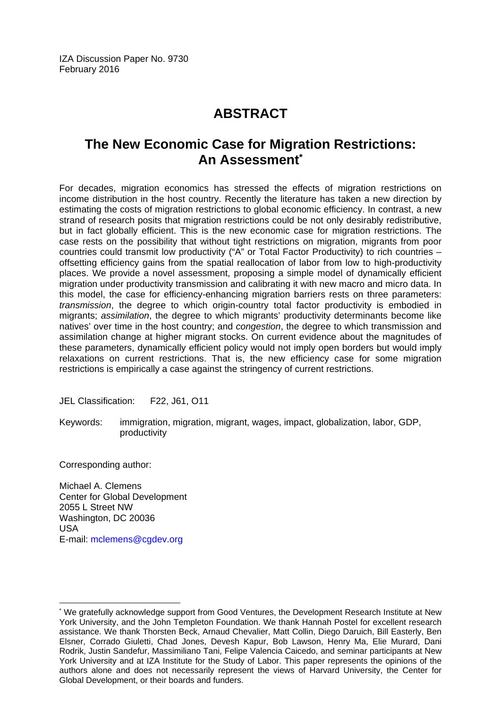## **ABSTRACT**

## **The New Economic Case for Migration Restrictions: An Assessment\***

For decades, migration economics has stressed the effects of migration restrictions on income distribution in the host country. Recently the literature has taken a new direction by estimating the costs of migration restrictions to global economic efficiency. In contrast, a new strand of research posits that migration restrictions could be not only desirably redistributive, but in fact globally efficient. This is the new economic case for migration restrictions. The case rests on the possibility that without tight restrictions on migration, migrants from poor countries could transmit low productivity ("A" or Total Factor Productivity) to rich countries – offsetting efficiency gains from the spatial reallocation of labor from low to high-productivity places. We provide a novel assessment, proposing a simple model of dynamically efficient migration under productivity transmission and calibrating it with new macro and micro data. In this model, the case for efficiency-enhancing migration barriers rests on three parameters: *transmission*, the degree to which origin-country total factor productivity is embodied in migrants; *assimilation*, the degree to which migrants' productivity determinants become like natives' over time in the host country; and *congestion*, the degree to which transmission and assimilation change at higher migrant stocks. On current evidence about the magnitudes of these parameters, dynamically efficient policy would not imply open borders but would imply relaxations on current restrictions. That is, the new efficiency case for some migration restrictions is empirically a case against the stringency of current restrictions.

JEL Classification: F22, J61, O11

Keywords: immigration, migration, migrant, wages, impact, globalization, labor, GDP, productivity

Corresponding author:

 $\overline{\phantom{a}}$ 

Michael A. Clemens Center for Global Development 2055 L Street NW Washington, DC 20036 USA E-mail: mclemens@cgdev.org

<sup>\*</sup> We gratefully acknowledge support from Good Ventures, the Development Research Institute at New York University, and the John Templeton Foundation. We thank Hannah Postel for excellent research assistance. We thank Thorsten Beck, Arnaud Chevalier, Matt Collin, Diego Daruich, Bill Easterly, Ben Elsner, Corrado Giuletti, Chad Jones, Devesh Kapur, Bob Lawson, Henry Ma, Elie Murard, Dani Rodrik, Justin Sandefur, Massimiliano Tani, Felipe Valencia Caicedo, and seminar participants at New York University and at IZA Institute for the Study of Labor. This paper represents the opinions of the authors alone and does not necessarily represent the views of Harvard University, the Center for Global Development, or their boards and funders.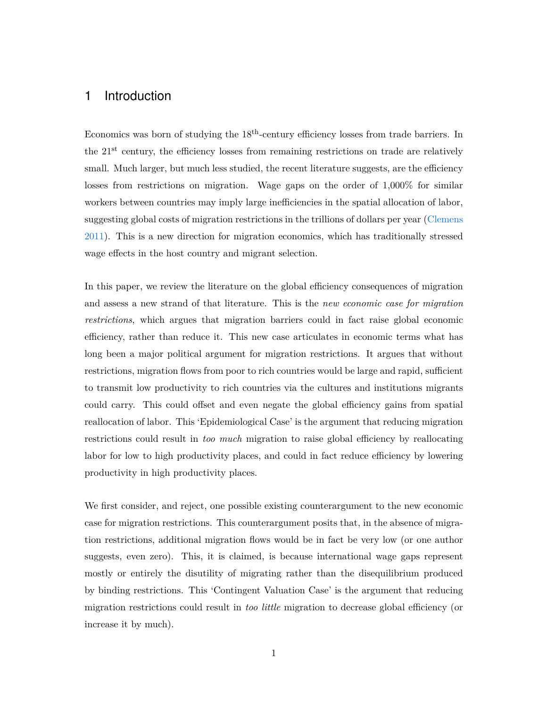## 1 Introduction

Economics was born of studying the  $18<sup>th</sup>$ -century efficiency losses from trade barriers. In the 21st century, the efficiency losses from remaining restrictions on trade are relatively small. Much larger, but much less studied, the recent literature suggests, are the efficiency losses from restrictions on migration. Wage gaps on the order of 1,000% for similar workers between countries may imply large inefficiencies in the spatial allocation of labor, suggesting global costs of migration restrictions in the trillions of dollars per year [\(Clemens](#page-50-0) [2011\)](#page-50-0). This is a new direction for migration economics, which has traditionally stressed wage effects in the host country and migrant selection.

In this paper, we review the literature on the global efficiency consequences of migration and assess a new strand of that literature. This is the *new economic case for migration restrictions*, which argues that migration barriers could in fact raise global economic efficiency, rather than reduce it. This new case articulates in economic terms what has long been a major political argument for migration restrictions. It argues that without restrictions, migration flows from poor to rich countries would be large and rapid, sufficient to transmit low productivity to rich countries via the cultures and institutions migrants could carry. This could offset and even negate the global efficiency gains from spatial reallocation of labor. This 'Epidemiological Case' is the argument that reducing migration restrictions could result in *too much* migration to raise global efficiency by reallocating labor for low to high productivity places, and could in fact reduce efficiency by lowering productivity in high productivity places.

We first consider, and reject, one possible existing counterargument to the new economic case for migration restrictions. This counterargument posits that, in the absence of migration restrictions, additional migration flows would be in fact be very low (or one author suggests, even zero). This, it is claimed, is because international wage gaps represent mostly or entirely the disutility of migrating rather than the disequilibrium produced by binding restrictions. This 'Contingent Valuation Case' is the argument that reducing migration restrictions could result in *too little* migration to decrease global efficiency (or increase it by much).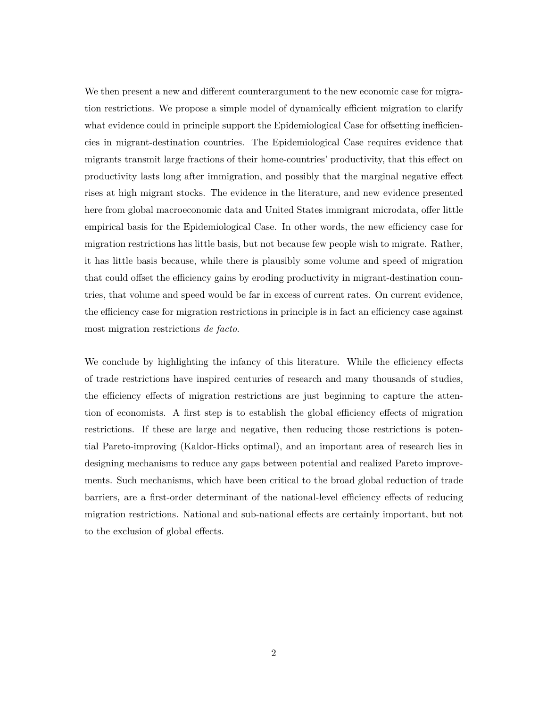We then present a new and different counterargument to the new economic case for migration restrictions. We propose a simple model of dynamically efficient migration to clarify what evidence could in principle support the Epidemiological Case for offsetting inefficiencies in migrant-destination countries. The Epidemiological Case requires evidence that migrants transmit large fractions of their home-countries' productivity, that this effect on productivity lasts long after immigration, and possibly that the marginal negative effect rises at high migrant stocks. The evidence in the literature, and new evidence presented here from global macroeconomic data and United States immigrant microdata, offer little empirical basis for the Epidemiological Case. In other words, the new efficiency case for migration restrictions has little basis, but not because few people wish to migrate. Rather, it has little basis because, while there is plausibly some volume and speed of migration that could offset the efficiency gains by eroding productivity in migrant-destination countries, that volume and speed would be far in excess of current rates. On current evidence, the efficiency case for migration restrictions in principle is in fact an efficiency case against most migration restrictions *de facto*.

We conclude by highlighting the infancy of this literature. While the efficiency effects of trade restrictions have inspired centuries of research and many thousands of studies, the efficiency effects of migration restrictions are just beginning to capture the attention of economists. A first step is to establish the global efficiency effects of migration restrictions. If these are large and negative, then reducing those restrictions is potential Pareto-improving (Kaldor-Hicks optimal), and an important area of research lies in designing mechanisms to reduce any gaps between potential and realized Pareto improvements. Such mechanisms, which have been critical to the broad global reduction of trade barriers, are a first-order determinant of the national-level efficiency effects of reducing migration restrictions. National and sub-national effects are certainly important, but not to the exclusion of global effects.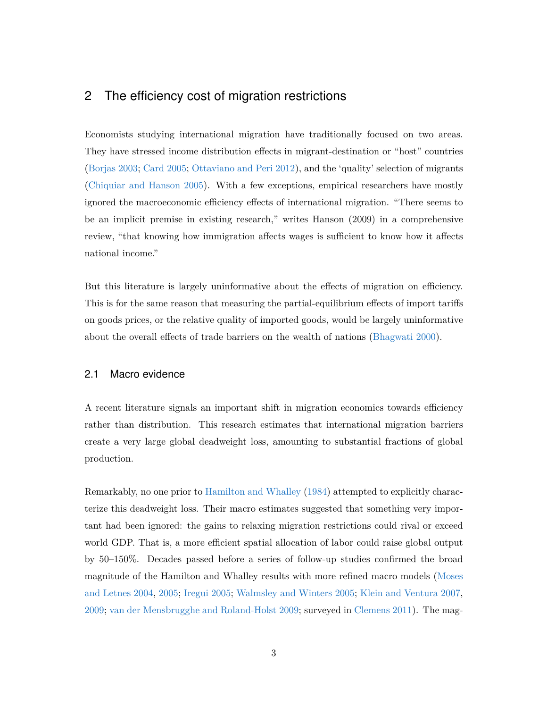## 2 The efficiency cost of migration restrictions

Economists studying international migration have traditionally focused on two areas. They have stressed income distribution effects in migrant-destination or "host" countries [\(Borjas](#page-49-0) [2003;](#page-49-0) [Card](#page-50-1) [2005;](#page-50-1) [Ottaviano and Peri](#page-54-0) [2012\)](#page-54-0), and the 'quality' selection of migrants [\(Chiquiar and Hanson](#page-50-2) [2005\)](#page-50-2). With a few exceptions, empirical researchers have mostly ignored the macroeconomic efficiency effects of international migration. "There seems to be an implicit premise in existing research," writes Hanson (2009) in a comprehensive review, "that knowing how immigration affects wages is sufficient to know how it affects national income."

But this literature is largely uninformative about the effects of migration on efficiency. This is for the same reason that measuring the partial-equilibrium effects of import tariffs on goods prices, or the relative quality of imported goods, would be largely uninformative about the overall effects of trade barriers on the wealth of nations [\(Bhagwati](#page-49-1) [2000\)](#page-49-1).

#### 2.1 Macro evidence

A recent literature signals an important shift in migration economics towards efficiency rather than distribution. This research estimates that international migration barriers create a very large global deadweight loss, amounting to substantial fractions of global production.

Remarkably, no one prior to [Hamilton and Whalley](#page-51-0) [\(1984\)](#page-51-0) attempted to explicitly characterize this deadweight loss. Their macro estimates suggested that something very important had been ignored: the gains to relaxing migration restrictions could rival or exceed world GDP. That is, a more efficient spatial allocation of labor could raise global output by 50–150%. Decades passed before a series of follow-up studies confirmed the broad magnitude of the Hamilton and Whalley results with more refined macro models [\(Moses](#page-53-0) [and Letnes](#page-53-0) [2004,](#page-53-0) [2005;](#page-53-1) [Iregui](#page-52-0) [2005;](#page-52-0) [Walmsley and Winters](#page-54-1) [2005;](#page-54-1) [Klein and Ventura](#page-52-1) [2007,](#page-52-1) [2009;](#page-52-2) [van der Mensbrugghe and Roland-Holst](#page-54-2) [2009;](#page-54-2) surveyed in [Clemens](#page-50-0) [2011\)](#page-50-0). The mag-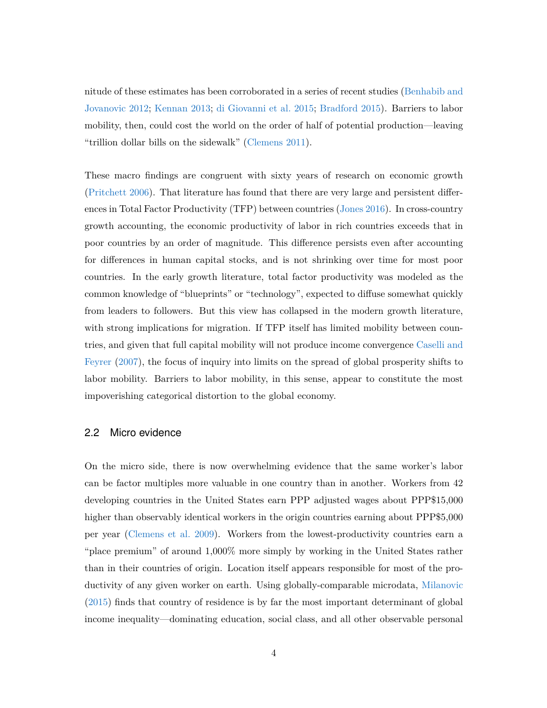nitude of these estimates has been corroborated in a series of recent studies [\(Benhabib and](#page-49-2) [Jovanovic](#page-49-2) [2012;](#page-49-2) [Kennan](#page-52-3) [2013;](#page-52-3) [di Giovanni et al.](#page-51-1) [2015;](#page-51-1) [Bradford](#page-50-3) [2015\)](#page-50-3). Barriers to labor mobility, then, could cost the world on the order of half of potential production—leaving "trillion dollar bills on the sidewalk" [\(Clemens](#page-50-0) [2011\)](#page-50-0).

These macro findings are congruent with sixty years of research on economic growth [\(Pritchett](#page-54-3) [2006\)](#page-54-3). That literature has found that there are very large and persistent differences in Total Factor Productivity (TFP) between countries [\(Jones](#page-52-4) [2016\)](#page-52-4). In cross-country growth accounting, the economic productivity of labor in rich countries exceeds that in poor countries by an order of magnitude. This difference persists even after accounting for differences in human capital stocks, and is not shrinking over time for most poor countries. In the early growth literature, total factor productivity was modeled as the common knowledge of "blueprints" or "technology", expected to diffuse somewhat quickly from leaders to followers. But this view has collapsed in the modern growth literature, with strong implications for migration. If TFP itself has limited mobility between countries, and given that full capital mobility will not produce income convergence [Caselli and](#page-50-4) [Feyrer](#page-50-4) [\(2007\)](#page-50-4), the focus of inquiry into limits on the spread of global prosperity shifts to labor mobility. Barriers to labor mobility, in this sense, appear to constitute the most impoverishing categorical distortion to the global economy.

### 2.2 Micro evidence

On the micro side, there is now overwhelming evidence that the same worker's labor can be factor multiples more valuable in one country than in another. Workers from 42 developing countries in the United States earn PPP adjusted wages about PPP\$15,000 higher than observably identical workers in the origin countries earning about PPP\$5,000 per year [\(Clemens et al.](#page-50-5) [2009\)](#page-50-5). Workers from the lowest-productivity countries earn a "place premium" of around 1,000% more simply by working in the United States rather than in their countries of origin. Location itself appears responsible for most of the productivity of any given worker on earth. Using globally-comparable microdata, [Milanovic](#page-53-2) [\(2015\)](#page-53-2) finds that country of residence is by far the most important determinant of global income inequality—dominating education, social class, and all other observable personal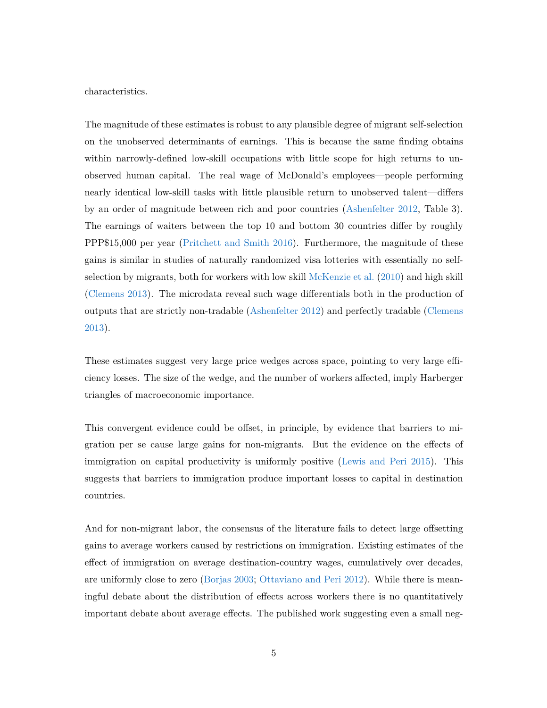characteristics.

The magnitude of these estimates is robust to any plausible degree of migrant self-selection on the unobserved determinants of earnings. This is because the same finding obtains within narrowly-defined low-skill occupations with little scope for high returns to unobserved human capital. The real wage of McDonald's employees—people performing nearly identical low-skill tasks with little plausible return to unobserved talent—differs by an order of magnitude between rich and poor countries [\(Ashenfelter](#page-48-0) [2012,](#page-48-0) Table 3). The earnings of waiters between the top 10 and bottom 30 countries differ by roughly PPP\$15,000 per year [\(Pritchett and Smith](#page-54-4) [2016\)](#page-54-4). Furthermore, the magnitude of these gains is similar in studies of naturally randomized visa lotteries with essentially no selfselection by migrants, both for workers with low skill [McKenzie et al.](#page-53-3) [\(2010\)](#page-53-3) and high skill [\(Clemens](#page-50-6) [2013\)](#page-50-6). The microdata reveal such wage differentials both in the production of outputs that are strictly non-tradable [\(Ashenfelter](#page-48-0) [2012\)](#page-48-0) and perfectly tradable [\(Clemens](#page-50-6) [2013\)](#page-50-6).

These estimates suggest very large price wedges across space, pointing to very large efficiency losses. The size of the wedge, and the number of workers affected, imply Harberger triangles of macroeconomic importance.

This convergent evidence could be offset, in principle, by evidence that barriers to migration per se cause large gains for non-migrants. But the evidence on the effects of immigration on capital productivity is uniformly positive [\(Lewis and Peri](#page-53-4) [2015\)](#page-53-4). This suggests that barriers to immigration produce important losses to capital in destination countries.

And for non-migrant labor, the consensus of the literature fails to detect large offsetting gains to average workers caused by restrictions on immigration. Existing estimates of the effect of immigration on average destination-country wages, cumulatively over decades, are uniformly close to zero [\(Borjas](#page-49-0) [2003;](#page-49-0) [Ottaviano and Peri](#page-54-0) [2012\)](#page-54-0). While there is meaningful debate about the distribution of effects across workers there is no quantitatively important debate about average effects. The published work suggesting even a small neg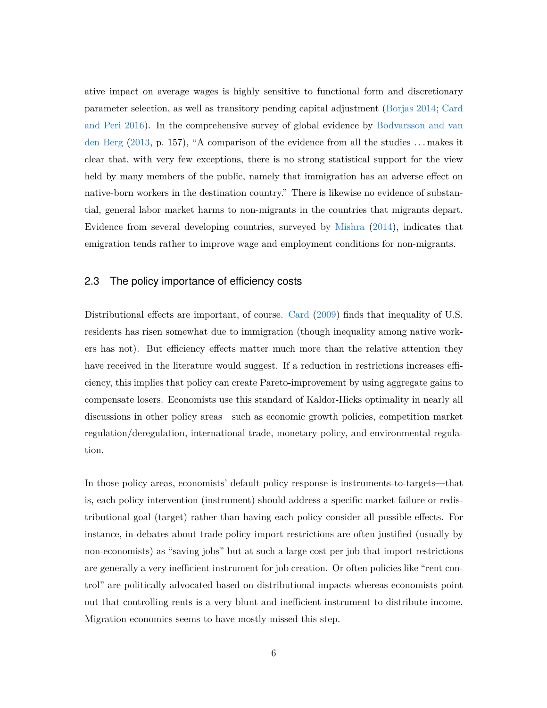ative impact on average wages is highly sensitive to functional form and discretionary parameter selection, as well as transitory pending capital adjustment [\(Borjas](#page-49-3) [2014;](#page-49-3) [Card](#page-50-7) [and Peri](#page-50-7) [2016\)](#page-50-7). In the comprehensive survey of global evidence by [Bodvarsson and van](#page-49-4) [den Berg](#page-49-4) [\(2013,](#page-49-4) p. 157), "A comparison of the evidence from all the studies . . . makes it clear that, with very few exceptions, there is no strong statistical support for the view held by many members of the public, namely that immigration has an adverse effect on native-born workers in the destination country." There is likewise no evidence of substantial, general labor market harms to non-migrants in the countries that migrants depart. Evidence from several developing countries, surveyed by [Mishra](#page-53-5) [\(2014\)](#page-53-5), indicates that emigration tends rather to improve wage and employment conditions for non-migrants.

#### 2.3 The policy importance of efficiency costs

Distributional effects are important, of course. [Card](#page-50-8) [\(2009\)](#page-50-8) finds that inequality of U.S. residents has risen somewhat due to immigration (though inequality among native workers has not). But efficiency effects matter much more than the relative attention they have received in the literature would suggest. If a reduction in restrictions increases efficiency, this implies that policy can create Pareto-improvement by using aggregate gains to compensate losers. Economists use this standard of Kaldor-Hicks optimality in nearly all discussions in other policy areas—such as economic growth policies, competition market regulation/deregulation, international trade, monetary policy, and environmental regulation.

In those policy areas, economists' default policy response is instruments-to-targets—that is, each policy intervention (instrument) should address a specific market failure or redistributional goal (target) rather than having each policy consider all possible effects. For instance, in debates about trade policy import restrictions are often justified (usually by non-economists) as "saving jobs" but at such a large cost per job that import restrictions are generally a very inefficient instrument for job creation. Or often policies like "rent control" are politically advocated based on distributional impacts whereas economists point out that controlling rents is a very blunt and inefficient instrument to distribute income. Migration economics seems to have mostly missed this step.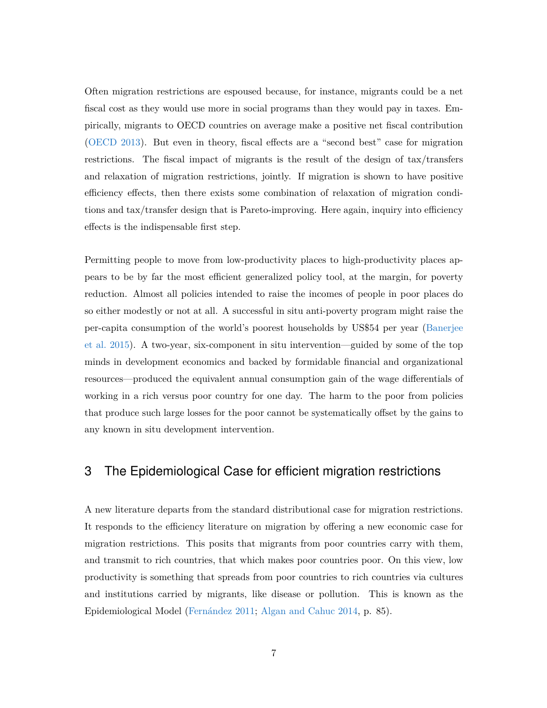Often migration restrictions are espoused because, for instance, migrants could be a net fiscal cost as they would use more in social programs than they would pay in taxes. Empirically, migrants to OECD countries on average make a positive net fiscal contribution [\(OECD](#page-53-6) [2013\)](#page-53-6). But even in theory, fiscal effects are a "second best" case for migration restrictions. The fiscal impact of migrants is the result of the design of tax/transfers and relaxation of migration restrictions, jointly. If migration is shown to have positive efficiency effects, then there exists some combination of relaxation of migration conditions and tax/transfer design that is Pareto-improving. Here again, inquiry into efficiency effects is the indispensable first step.

Permitting people to move from low-productivity places to high-productivity places appears to be by far the most efficient generalized policy tool, at the margin, for poverty reduction. Almost all policies intended to raise the incomes of people in poor places do so either modestly or not at all. A successful in situ anti-poverty program might raise the per-capita consumption of the world's poorest households by US\$54 per year [\(Banerjee](#page-49-5) [et al.](#page-49-5) [2015\)](#page-49-5). A two-year, six-component in situ intervention—guided by some of the top minds in development economics and backed by formidable financial and organizational resources—produced the equivalent annual consumption gain of the wage differentials of working in a rich versus poor country for one day. The harm to the poor from policies that produce such large losses for the poor cannot be systematically offset by the gains to any known in situ development intervention.

## 3 The Epidemiological Case for efficient migration restrictions

A new literature departs from the standard distributional case for migration restrictions. It responds to the efficiency literature on migration by offering a new economic case for migration restrictions. This posits that migrants from poor countries carry with them, and transmit to rich countries, that which makes poor countries poor. On this view, low productivity is something that spreads from poor countries to rich countries via cultures and institutions carried by migrants, like disease or pollution. This is known as the Epidemiological Model [\(Fernández](#page-51-2) [2011;](#page-51-2) [Algan and Cahuc](#page-48-1) [2014,](#page-48-1) p. 85).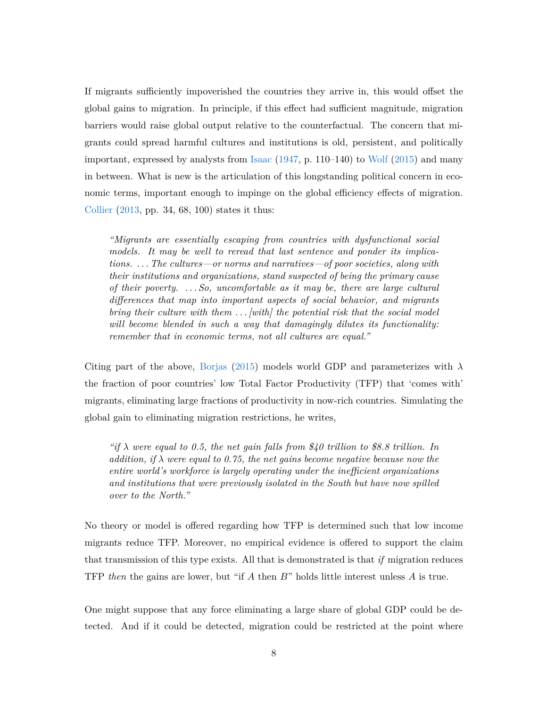If migrants sufficiently impoverished the countries they arrive in, this would offset the global gains to migration. In principle, if this effect had sufficient magnitude, migration barriers would raise global output relative to the counterfactual. The concern that migrants could spread harmful cultures and institutions is old, persistent, and politically important, expressed by analysts from [Isaac](#page-52-5) [\(1947,](#page-52-5) p. 110–140) to [Wolf](#page-54-5) [\(2015\)](#page-54-5) and many in between. What is new is the articulation of this longstanding political concern in economic terms, important enough to impinge on the global efficiency effects of migration. [Collier](#page-50-9) [\(2013,](#page-50-9) pp. 34, 68, 100) states it thus:

*"Migrants are essentially escaping from countries with dysfunctional social models. It may be well to reread that last sentence and ponder its implications. . . . The cultures—or norms and narratives—of poor societies, along with their institutions and organizations, stand suspected of being the primary cause of their poverty. . . . So, uncomfortable as it may be, there are large cultural differences that map into important aspects of social behavior, and migrants bring their culture with them . . . [with] the potential risk that the social model will become blended in such a way that damagingly dilutes its functionality: remember that in economic terms, not all cultures are equal."*

Citing part of the above, [Borjas](#page-49-6) [\(2015\)](#page-49-6) models world GDP and parameterizes with *λ* the fraction of poor countries' low Total Factor Productivity (TFP) that 'comes with' migrants, eliminating large fractions of productivity in now-rich countries. Simulating the global gain to eliminating migration restrictions, he writes,

*"if λ were equal to 0.5, the net gain falls from \$40 trillion to \$8.8 trillion. In addition, if λ were equal to 0.75, the net gains become negative because now the entire world's workforce is largely operating under the inefficient organizations and institutions that were previously isolated in the South but have now spilled over to the North."*

No theory or model is offered regarding how TFP is determined such that low income migrants reduce TFP. Moreover, no empirical evidence is offered to support the claim that transmission of this type exists. All that is demonstrated is that *if* migration reduces TFP *then* the gains are lower, but "if *A* then *B*" holds little interest unless *A* is true.

One might suppose that any force eliminating a large share of global GDP could be detected. And if it could be detected, migration could be restricted at the point where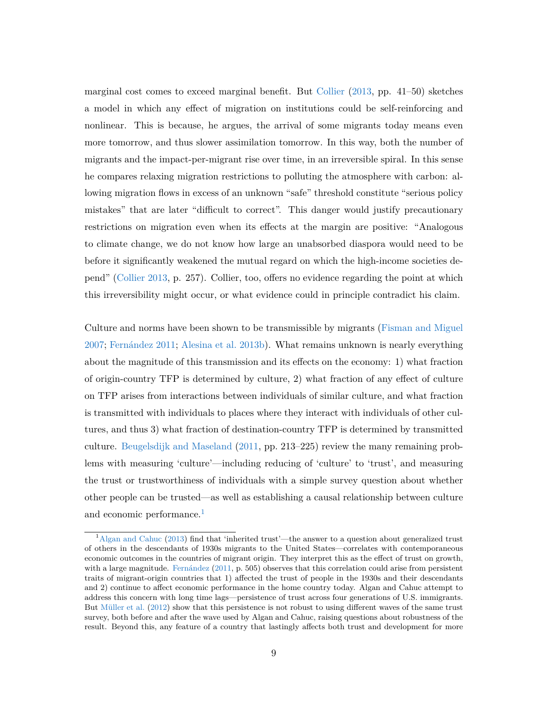marginal cost comes to exceed marginal benefit. But [Collier](#page-50-9) [\(2013,](#page-50-9) pp. 41–50) sketches a model in which any effect of migration on institutions could be self-reinforcing and nonlinear. This is because, he argues, the arrival of some migrants today means even more tomorrow, and thus slower assimilation tomorrow. In this way, both the number of migrants and the impact-per-migrant rise over time, in an irreversible spiral. In this sense he compares relaxing migration restrictions to polluting the atmosphere with carbon: allowing migration flows in excess of an unknown "safe" threshold constitute "serious policy mistakes" that are later "difficult to correct". This danger would justify precautionary restrictions on migration even when its effects at the margin are positive: "Analogous to climate change, we do not know how large an unabsorbed diaspora would need to be before it significantly weakened the mutual regard on which the high-income societies depend" [\(Collier](#page-50-9) [2013,](#page-50-9) p. 257). Collier, too, offers no evidence regarding the point at which this irreversibility might occur, or what evidence could in principle contradict his claim.

Culture and norms have been shown to be transmissible by migrants [\(Fisman and Miguel](#page-51-3) [2007;](#page-51-3) [Fernández](#page-51-2) [2011;](#page-51-2) [Alesina et al.](#page-48-2) [2013b\)](#page-48-2). What remains unknown is nearly everything about the magnitude of this transmission and its effects on the economy: 1) what fraction of origin-country TFP is determined by culture, 2) what fraction of any effect of culture on TFP arises from interactions between individuals of similar culture, and what fraction is transmitted with individuals to places where they interact with individuals of other cultures, and thus 3) what fraction of destination-country TFP is determined by transmitted culture. [Beugelsdijk and Maseland](#page-49-7) [\(2011,](#page-49-7) pp. 213–225) review the many remaining problems with measuring 'culture'—including reducing of 'culture' to 'trust', and measuring the trust or trustworthiness of individuals with a simple survey question about whether other people can be trusted—as well as establishing a causal relationship between culture and economic performance.<sup>[1](#page-11-0)</sup>

<span id="page-11-0"></span><sup>1</sup>[Algan and Cahuc](#page-48-3) [\(2013\)](#page-48-3) find that 'inherited trust'—the answer to a question about generalized trust of others in the descendants of 1930s migrants to the United States—correlates with contemporaneous economic outcomes in the countries of migrant origin. They interpret this as the effect of trust on growth, with a large magnitude. [Fernández](#page-51-2) [\(2011,](#page-51-2) p. 505) observes that this correlation could arise from persistent traits of migrant-origin countries that 1) affected the trust of people in the 1930s and their descendants and 2) continue to affect economic performance in the home country today. Algan and Cahuc attempt to address this concern with long time lags—persistence of trust across four generations of U.S. immigrants. But [Müller et al.](#page-53-7) [\(2012\)](#page-53-7) show that this persistence is not robust to using different waves of the same trust survey, both before and after the wave used by Algan and Cahuc, raising questions about robustness of the result. Beyond this, any feature of a country that lastingly affects both trust and development for more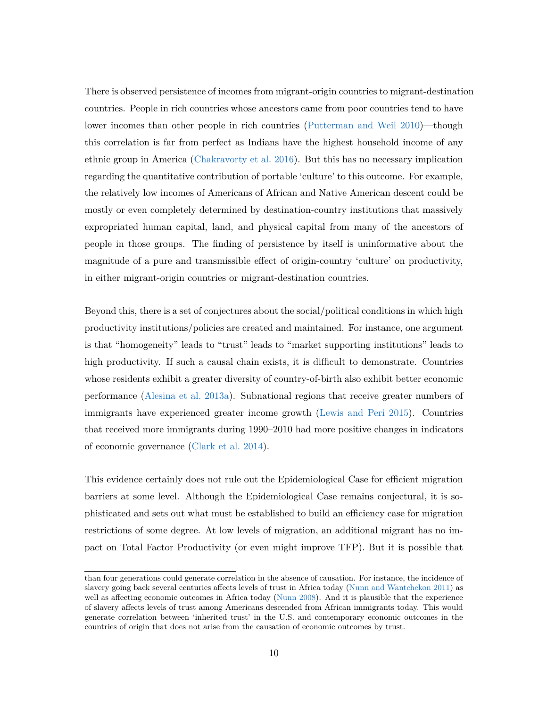There is observed persistence of incomes from migrant-origin countries to migrant-destination countries. People in rich countries whose ancestors came from poor countries tend to have lower incomes than other people in rich countries [\(Putterman and Weil](#page-54-6) [2010\)](#page-54-6)—though this correlation is far from perfect as Indians have the highest household income of any ethnic group in America [\(Chakravorty et al.](#page-50-10) [2016\)](#page-50-10). But this has no necessary implication regarding the quantitative contribution of portable 'culture' to this outcome. For example, the relatively low incomes of Americans of African and Native American descent could be mostly or even completely determined by destination-country institutions that massively expropriated human capital, land, and physical capital from many of the ancestors of people in those groups. The finding of persistence by itself is uninformative about the magnitude of a pure and transmissible effect of origin-country 'culture' on productivity, in either migrant-origin countries or migrant-destination countries.

Beyond this, there is a set of conjectures about the social/political conditions in which high productivity institutions/policies are created and maintained. For instance, one argument is that "homogeneity" leads to "trust" leads to "market supporting institutions" leads to high productivity. If such a causal chain exists, it is difficult to demonstrate. Countries whose residents exhibit a greater diversity of country-of-birth also exhibit better economic performance [\(Alesina et al.](#page-48-4) [2013a\)](#page-48-4). Subnational regions that receive greater numbers of immigrants have experienced greater income growth [\(Lewis and Peri](#page-53-4) [2015\)](#page-53-4). Countries that received more immigrants during 1990–2010 had more positive changes in indicators of economic governance [\(Clark et al.](#page-50-11) [2014\)](#page-50-11).

This evidence certainly does not rule out the Epidemiological Case for efficient migration barriers at some level. Although the Epidemiological Case remains conjectural, it is sophisticated and sets out what must be established to build an efficiency case for migration restrictions of some degree. At low levels of migration, an additional migrant has no impact on Total Factor Productivity (or even might improve TFP). But it is possible that

than four generations could generate correlation in the absence of causation. For instance, the incidence of slavery going back several centuries affects levels of trust in Africa today [\(Nunn and Wantchekon](#page-53-8) [2011\)](#page-53-8) as well as affecting economic outcomes in Africa today [\(Nunn](#page-53-9) [2008\)](#page-53-9). And it is plausible that the experience of slavery affects levels of trust among Americans descended from African immigrants today. This would generate correlation between 'inherited trust' in the U.S. and contemporary economic outcomes in the countries of origin that does not arise from the causation of economic outcomes by trust.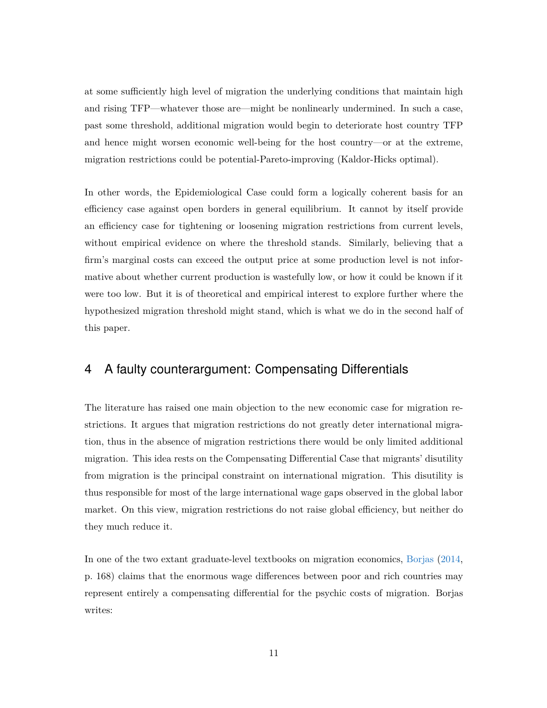at some sufficiently high level of migration the underlying conditions that maintain high and rising TFP—whatever those are—might be nonlinearly undermined. In such a case, past some threshold, additional migration would begin to deteriorate host country TFP and hence might worsen economic well-being for the host country—or at the extreme, migration restrictions could be potential-Pareto-improving (Kaldor-Hicks optimal).

In other words, the Epidemiological Case could form a logically coherent basis for an efficiency case against open borders in general equilibrium. It cannot by itself provide an efficiency case for tightening or loosening migration restrictions from current levels, without empirical evidence on where the threshold stands. Similarly, believing that a firm's marginal costs can exceed the output price at some production level is not informative about whether current production is wastefully low, or how it could be known if it were too low. But it is of theoretical and empirical interest to explore further where the hypothesized migration threshold might stand, which is what we do in the second half of this paper.

## 4 A faulty counterargument: Compensating Differentials

The literature has raised one main objection to the new economic case for migration restrictions. It argues that migration restrictions do not greatly deter international migration, thus in the absence of migration restrictions there would be only limited additional migration. This idea rests on the Compensating Differential Case that migrants' disutility from migration is the principal constraint on international migration. This disutility is thus responsible for most of the large international wage gaps observed in the global labor market. On this view, migration restrictions do not raise global efficiency, but neither do they much reduce it.

In one of the two extant graduate-level textbooks on migration economics, [Borjas](#page-49-3) [\(2014,](#page-49-3) p. 168) claims that the enormous wage differences between poor and rich countries may represent entirely a compensating differential for the psychic costs of migration. Borjas writes: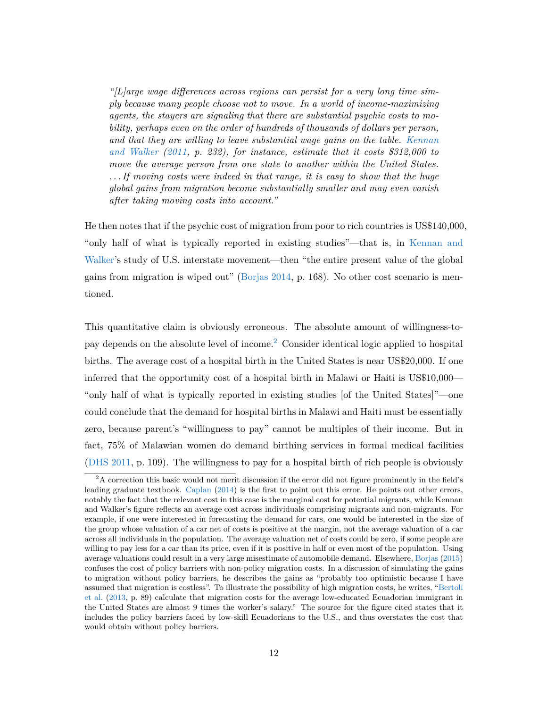*"[L]arge wage differences across regions can persist for a very long time simply because many people choose not to move. In a world of income-maximizing agents, the stayers are signaling that there are substantial psychic costs to mobility, perhaps even on the order of hundreds of thousands of dollars per person, and that they are willing to leave substantial wage gains on the table. [Kennan](#page-52-6) [and Walker](#page-52-6) [\(2011,](#page-52-6) p. 232), for instance, estimate that it costs \$312,000 to move the average person from one state to another within the United States. . . . If moving costs were indeed in that range, it is easy to show that the huge global gains from migration become substantially smaller and may even vanish after taking moving costs into account."*

He then notes that if the psychic cost of migration from poor to rich countries is US\$140,000, "only half of what is typically reported in existing studies"—that is, in [Kennan and](#page-52-6) [Walker'](#page-52-6)s study of U.S. interstate movement—then "the entire present value of the global gains from migration is wiped out" [\(Borjas](#page-49-3) [2014,](#page-49-3) p. 168). No other cost scenario is mentioned.

This quantitative claim is obviously erroneous. The absolute amount of willingness-topay depends on the absolute level of income.[2](#page-14-0) Consider identical logic applied to hospital births. The average cost of a hospital birth in the United States is near US\$20,000. If one inferred that the opportunity cost of a hospital birth in Malawi or Haiti is US\$10,000— "only half of what is typically reported in existing studies [of the United States]"—one could conclude that the demand for hospital births in Malawi and Haiti must be essentially zero, because parent's "willingness to pay" cannot be multiples of their income. But in fact, 75% of Malawian women do demand birthing services in formal medical facilities [\(DHS](#page-51-4) [2011,](#page-51-4) p. 109). The willingness to pay for a hospital birth of rich people is obviously

<span id="page-14-0"></span> $2A$  correction this basic would not merit discussion if the error did not figure prominently in the field's leading graduate textbook. [Caplan](#page-50-12) [\(2014\)](#page-50-12) is the first to point out this error. He points out other errors, notably the fact that the relevant cost in this case is the marginal cost for potential migrants, while Kennan and Walker's figure reflects an average cost across individuals comprising migrants and non-migrants. For example, if one were interested in forecasting the demand for cars, one would be interested in the size of the group whose valuation of a car net of costs is positive at the margin, not the average valuation of a car across all individuals in the population. The average valuation net of costs could be zero, if some people are willing to pay less for a car than its price, even if it is positive in half or even most of the population. Using average valuations could result in a very large misestimate of automobile demand. Elsewhere, [Borjas](#page-49-6) [\(2015\)](#page-49-6) confuses the cost of policy barriers with non-policy migration costs. In a discussion of simulating the gains to migration without policy barriers, he describes the gains as "probably too optimistic because I have assumed that migration is costless". To illustrate the possibility of high migration costs, he writes, ["Bertoli](#page-49-8) [et al.](#page-49-8) [\(2013,](#page-49-8) p. 89) calculate that migration costs for the average low-educated Ecuadorian immigrant in the United States are almost 9 times the worker's salary." The source for the figure cited states that it includes the policy barriers faced by low-skill Ecuadorians to the U.S., and thus overstates the cost that would obtain without policy barriers.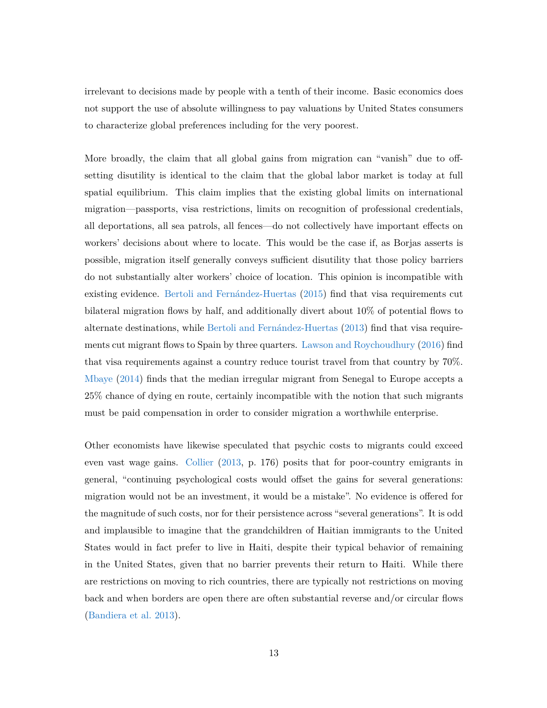irrelevant to decisions made by people with a tenth of their income. Basic economics does not support the use of absolute willingness to pay valuations by United States consumers to characterize global preferences including for the very poorest.

More broadly, the claim that all global gains from migration can "vanish" due to offsetting disutility is identical to the claim that the global labor market is today at full spatial equilibrium. This claim implies that the existing global limits on international migration—passports, visa restrictions, limits on recognition of professional credentials, all deportations, all sea patrols, all fences—do not collectively have important effects on workers' decisions about where to locate. This would be the case if, as Borjas asserts is possible, migration itself generally conveys sufficient disutility that those policy barriers do not substantially alter workers' choice of location. This opinion is incompatible with existing evidence. [Bertoli and Fernández-Huertas](#page-49-9) [\(2015\)](#page-49-9) find that visa requirements cut bilateral migration flows by half, and additionally divert about 10% of potential flows to alternate destinations, while [Bertoli and Fernández-Huertas](#page-49-10) [\(2013\)](#page-49-10) find that visa requirements cut migrant flows to Spain by three quarters. [Lawson and Roychoudhury](#page-53-10) [\(2016\)](#page-53-10) find that visa requirements against a country reduce tourist travel from that country by 70%. [Mbaye](#page-53-11) [\(2014\)](#page-53-11) finds that the median irregular migrant from Senegal to Europe accepts a 25% chance of dying en route, certainly incompatible with the notion that such migrants must be paid compensation in order to consider migration a worthwhile enterprise.

Other economists have likewise speculated that psychic costs to migrants could exceed even vast wage gains. [Collier](#page-50-9) [\(2013,](#page-50-9) p. 176) posits that for poor-country emigrants in general, "continuing psychological costs would offset the gains for several generations: migration would not be an investment, it would be a mistake". No evidence is offered for the magnitude of such costs, nor for their persistence across "several generations". It is odd and implausible to imagine that the grandchildren of Haitian immigrants to the United States would in fact prefer to live in Haiti, despite their typical behavior of remaining in the United States, given that no barrier prevents their return to Haiti. While there are restrictions on moving to rich countries, there are typically not restrictions on moving back and when borders are open there are often substantial reverse and/or circular flows [\(Bandiera et al.](#page-49-11) [2013\)](#page-49-11).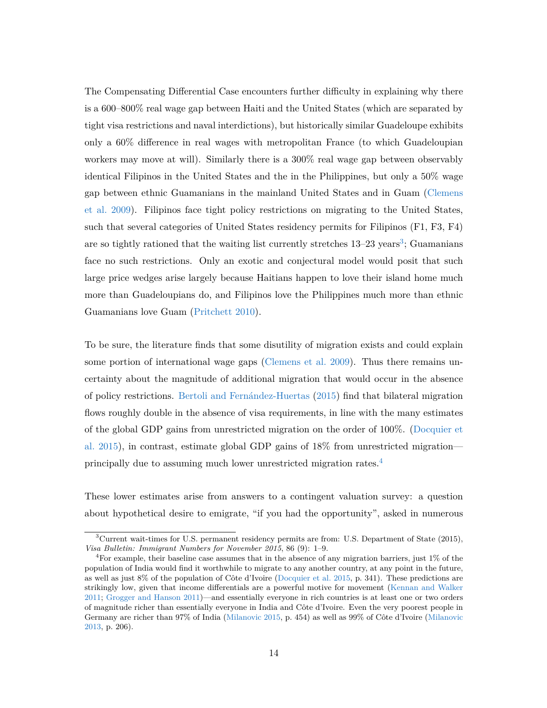The Compensating Differential Case encounters further difficulty in explaining why there is a 600–800% real wage gap between Haiti and the United States (which are separated by tight visa restrictions and naval interdictions), but historically similar Guadeloupe exhibits only a 60% difference in real wages with metropolitan France (to which Guadeloupian workers may move at will). Similarly there is a 300% real wage gap between observably identical Filipinos in the United States and the in the Philippines, but only a 50% wage gap between ethnic Guamanians in the mainland United States and in Guam [\(Clemens](#page-50-5) [et al.](#page-50-5) [2009\)](#page-50-5). Filipinos face tight policy restrictions on migrating to the United States, such that several categories of United States residency permits for Filipinos (F1, F3, F4) are so tightly rationed that the waiting list currently stretches  $13-23$  $13-23$  $13-23$  years<sup>3</sup>; Guamanians face no such restrictions. Only an exotic and conjectural model would posit that such large price wedges arise largely because Haitians happen to love their island home much more than Guadeloupians do, and Filipinos love the Philippines much more than ethnic Guamanians love Guam [\(Pritchett](#page-54-7) [2010\)](#page-54-7).

To be sure, the literature finds that some disutility of migration exists and could explain some portion of international wage gaps [\(Clemens et al.](#page-50-5) [2009\)](#page-50-5). Thus there remains uncertainty about the magnitude of additional migration that would occur in the absence of policy restrictions. [Bertoli and Fernández-Huertas](#page-49-9) [\(2015\)](#page-49-9) find that bilateral migration flows roughly double in the absence of visa requirements, in line with the many estimates of the global GDP gains from unrestricted migration on the order of 100%. [\(Docquier et](#page-51-5) [al.](#page-51-5) [2015\)](#page-51-5), in contrast, estimate global GDP gains of 18% from unrestricted migration principally due to assuming much lower unrestricted migration rates.[4](#page-16-1)

These lower estimates arise from answers to a contingent valuation survey: a question about hypothetical desire to emigrate, "if you had the opportunity", asked in numerous

<span id="page-16-0"></span><sup>3</sup>Current wait-times for U.S. permanent residency permits are from: U.S. Department of State (2015), *Visa Bulletin: Immigrant Numbers for November 2015*, 86 (9): 1–9.

<span id="page-16-1"></span><sup>4</sup>For example, their baseline case assumes that in the absence of any migration barriers, just 1% of the population of India would find it worthwhile to migrate to any another country, at any point in the future, as well as just 8% of the population of Côte d'Ivoire [\(Docquier et al.](#page-51-5) [2015,](#page-51-5) p. 341). These predictions are strikingly low, given that income differentials are a powerful motive for movement [\(Kennan and Walker](#page-52-6) [2011;](#page-52-6) [Grogger and Hanson](#page-51-6) [2011\)](#page-51-6)—and essentially everyone in rich countries is at least one or two orders of magnitude richer than essentially everyone in India and Côte d'Ivoire. Even the very poorest people in Germany are richer than 97% of India [\(Milanovic](#page-53-2) [2015,](#page-53-2) p. 454) as well as 99% of Côte d'Ivoire [\(Milanovic](#page-53-12) [2013,](#page-53-12) p. 206).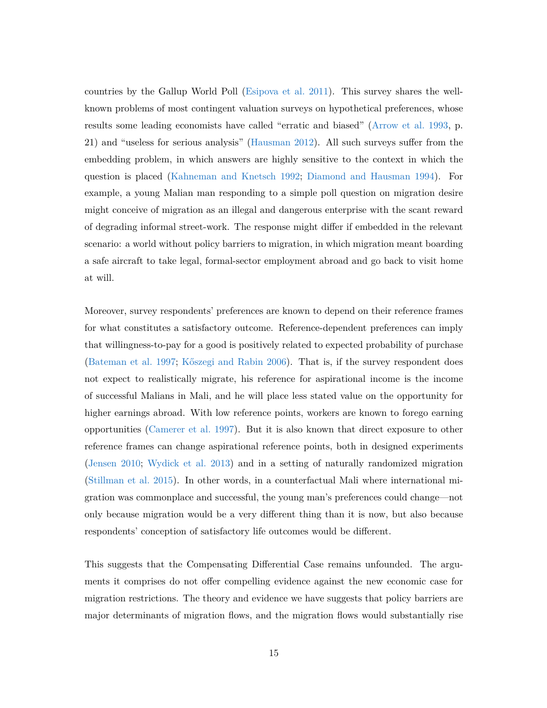countries by the Gallup World Poll [\(Esipova et al.](#page-51-7) [2011\)](#page-51-7). This survey shares the wellknown problems of most contingent valuation surveys on hypothetical preferences, whose results some leading economists have called "erratic and biased" [\(Arrow et al.](#page-48-5) [1993,](#page-48-5) p. 21) and "useless for serious analysis" [\(Hausman](#page-52-7) [2012\)](#page-52-7). All such surveys suffer from the embedding problem, in which answers are highly sensitive to the context in which the question is placed [\(Kahneman and Knetsch](#page-52-8) [1992;](#page-52-8) [Diamond and Hausman](#page-51-8) [1994\)](#page-51-8). For example, a young Malian man responding to a simple poll question on migration desire might conceive of migration as an illegal and dangerous enterprise with the scant reward of degrading informal street-work. The response might differ if embedded in the relevant scenario: a world without policy barriers to migration, in which migration meant boarding a safe aircraft to take legal, formal-sector employment abroad and go back to visit home at will.

Moreover, survey respondents' preferences are known to depend on their reference frames for what constitutes a satisfactory outcome. Reference-dependent preferences can imply that willingness-to-pay for a good is positively related to expected probability of purchase [\(Bateman et al.](#page-49-12) [1997;](#page-49-12) [Kőszegi and Rabin](#page-52-9) [2006\)](#page-52-9). That is, if the survey respondent does not expect to realistically migrate, his reference for aspirational income is the income of successful Malians in Mali, and he will place less stated value on the opportunity for higher earnings abroad. With low reference points, workers are known to forego earning opportunities [\(Camerer et al.](#page-50-13) [1997\)](#page-50-13). But it is also known that direct exposure to other reference frames can change aspirational reference points, both in designed experiments [\(Jensen](#page-52-10) [2010;](#page-52-10) [Wydick et al.](#page-54-8) [2013\)](#page-54-8) and in a setting of naturally randomized migration [\(Stillman et al.](#page-54-9) [2015\)](#page-54-9). In other words, in a counterfactual Mali where international migration was commonplace and successful, the young man's preferences could change—not only because migration would be a very different thing than it is now, but also because respondents' conception of satisfactory life outcomes would be different.

This suggests that the Compensating Differential Case remains unfounded. The arguments it comprises do not offer compelling evidence against the new economic case for migration restrictions. The theory and evidence we have suggests that policy barriers are major determinants of migration flows, and the migration flows would substantially rise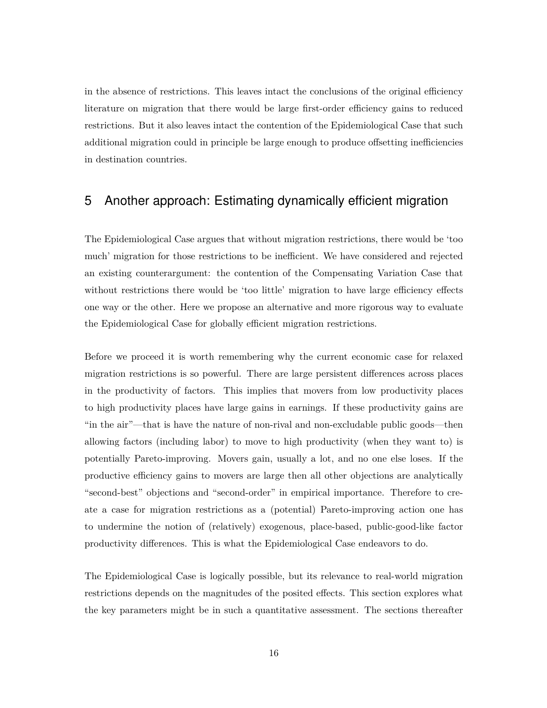in the absence of restrictions. This leaves intact the conclusions of the original efficiency literature on migration that there would be large first-order efficiency gains to reduced restrictions. But it also leaves intact the contention of the Epidemiological Case that such additional migration could in principle be large enough to produce offsetting inefficiencies in destination countries.

## <span id="page-18-0"></span>5 Another approach: Estimating dynamically efficient migration

The Epidemiological Case argues that without migration restrictions, there would be 'too much' migration for those restrictions to be inefficient. We have considered and rejected an existing counterargument: the contention of the Compensating Variation Case that without restrictions there would be 'too little' migration to have large efficiency effects one way or the other. Here we propose an alternative and more rigorous way to evaluate the Epidemiological Case for globally efficient migration restrictions.

Before we proceed it is worth remembering why the current economic case for relaxed migration restrictions is so powerful. There are large persistent differences across places in the productivity of factors. This implies that movers from low productivity places to high productivity places have large gains in earnings. If these productivity gains are "in the air"—that is have the nature of non-rival and non-excludable public goods—then allowing factors (including labor) to move to high productivity (when they want to) is potentially Pareto-improving. Movers gain, usually a lot, and no one else loses. If the productive efficiency gains to movers are large then all other objections are analytically "second-best" objections and "second-order" in empirical importance. Therefore to create a case for migration restrictions as a (potential) Pareto-improving action one has to undermine the notion of (relatively) exogenous, place-based, public-good-like factor productivity differences. This is what the Epidemiological Case endeavors to do.

The Epidemiological Case is logically possible, but its relevance to real-world migration restrictions depends on the magnitudes of the posited effects. This section explores what the key parameters might be in such a quantitative assessment. The sections thereafter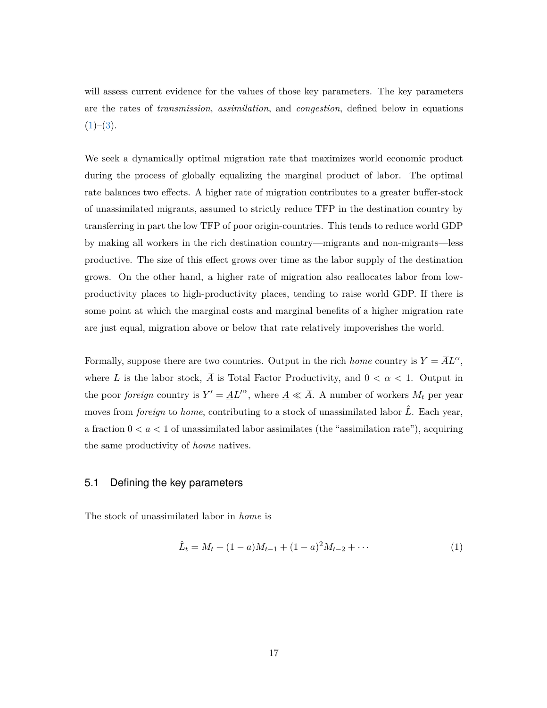will assess current evidence for the values of those key parameters. The key parameters are the rates of *transmission*, *assimilation*, and *congestion*, defined below in equations  $(1)–(3)$  $(1)–(3)$  $(1)–(3)$ .

We seek a dynamically optimal migration rate that maximizes world economic product during the process of globally equalizing the marginal product of labor. The optimal rate balances two effects. A higher rate of migration contributes to a greater buffer-stock of unassimilated migrants, assumed to strictly reduce TFP in the destination country by transferring in part the low TFP of poor origin-countries. This tends to reduce world GDP by making all workers in the rich destination country—migrants and non-migrants—less productive. The size of this effect grows over time as the labor supply of the destination grows. On the other hand, a higher rate of migration also reallocates labor from lowproductivity places to high-productivity places, tending to raise world GDP. If there is some point at which the marginal costs and marginal benefits of a higher migration rate are just equal, migration above or below that rate relatively impoverishes the world.

Formally, suppose there are two countries. Output in the rich *home* country is  $Y = \overline{A}L^{\alpha}$ , where *L* is the labor stock,  $\overline{A}$  is Total Factor Productivity, and  $0 < \alpha < 1$ . Output in the poor *foreign* country is  $Y' = \underline{A}L'^{\alpha}$ , where  $\underline{A} \ll \overline{A}$ . A number of workers  $M_t$  per year moves from *foreign* to *home*, contributing to a stock of unassimilated labor  $\hat{L}$ . Each year, a fraction  $0 < a < 1$  of unassimilated labor assimilates (the "assimilation rate"), acquiring the same productivity of *home* natives.

## 5.1 Defining the key parameters

The stock of unassimilated labor in *home* is

<span id="page-19-0"></span>
$$
\hat{L}_t = M_t + (1 - a)M_{t-1} + (1 - a)^2 M_{t-2} + \cdots
$$
\n(1)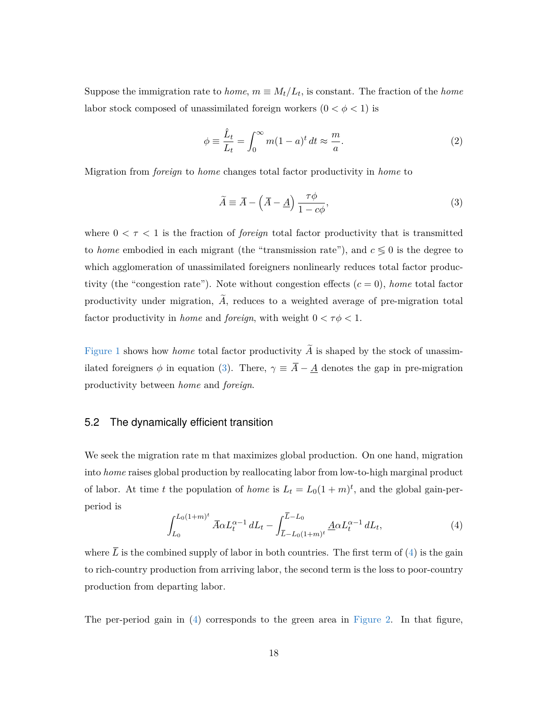Suppose the immigration rate to *home*,  $m \equiv M_t/L_t$ , is constant. The fraction of the *home* labor stock composed of unassimilated foreign workers  $(0 < \phi < 1)$  is

<span id="page-20-2"></span>
$$
\phi \equiv \frac{\hat{L}_t}{L_t} = \int_0^\infty m(1-a)^t \, dt \approx \frac{m}{a}.\tag{2}
$$

Migration from *foreign* to *home* changes total factor productivity in *home* to

<span id="page-20-0"></span>
$$
\widetilde{A} \equiv \overline{A} - \left(\overline{A} - \underline{A}\right) \frac{\tau \phi}{1 - c\phi},\tag{3}
$$

where  $0 < \tau < 1$  is the fraction of *foreign* total factor productivity that is transmitted to *home* embodied in each migrant (the "transmission rate"), and  $c \leq 0$  is the degree to which agglomeration of unassimilated foreigners nonlinearly reduces total factor productivity (the "congestion rate"). Note without congestion effects  $(c = 0)$ , *home* total factor productivity under migration,  $\widetilde{A}$ , reduces to a weighted average of pre-migration total factor productivity in *home* and *foreign*, with weight  $0 < \tau \phi < 1$ .

[Figure 1](#page-21-0) shows how *home* total factor productivity  $\widetilde{A}$  is shaped by the stock of unassimilated foreigners  $\phi$  in equation [\(3\)](#page-20-0). There,  $\gamma \equiv \overline{A} - \underline{A}$  denotes the gap in pre-migration productivity between *home* and *foreign*.

### 5.2 The dynamically efficient transition

We seek the migration rate m that maximizes global production. On one hand, migration into *home* raises global production by reallocating labor from low-to-high marginal product of labor. At time *t* the population of *home* is  $L_t = L_0(1 + m)^t$ , and the global gain-perperiod is

<span id="page-20-1"></span>
$$
\int_{L_0}^{L_0(1+m)^t} \bar{A} \alpha L_t^{\alpha-1} dL_t - \int_{\bar{L}-L_0(1+m)^t}^{\bar{L}-L_0} \underline{A} \alpha L_t^{\alpha-1} dL_t,\tag{4}
$$

where  $\overline{L}$  is the combined supply of labor in both countries. The first term of [\(4\)](#page-20-1) is the gain to rich-country production from arriving labor, the second term is the loss to poor-country production from departing labor.

The per-period gain in [\(4\)](#page-20-1) corresponds to the green area in [Figure 2.](#page-22-0) In that figure,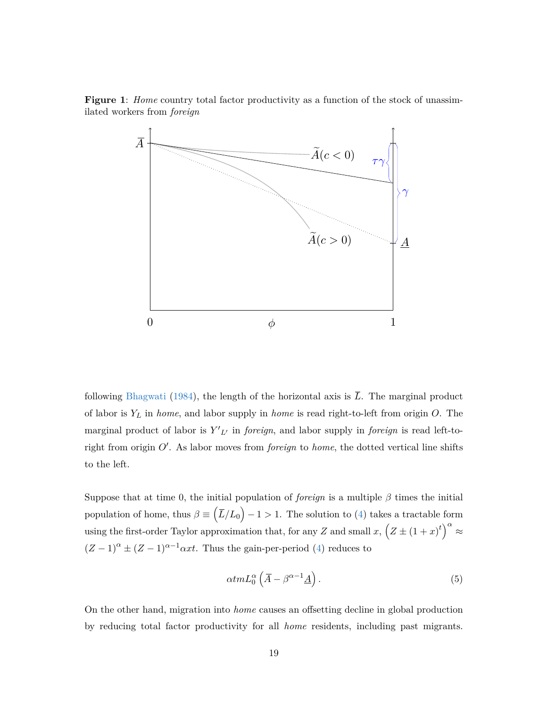

<span id="page-21-0"></span>**Figure 1**: *Home* country total factor productivity as a function of the stock of unassimilated workers from *foreign*

following [Bhagwati](#page-49-13) [\(1984\)](#page-49-13), the length of the horizontal axis is  $\overline{L}$ . The marginal product of labor is *Y<sup>L</sup>* in *home*, and labor supply in *home* is read right-to-left from origin *O*. The marginal product of labor is  $Y'_{L'}$  in *foreign*, and labor supply in *foreign* is read left-toright from origin  $O'$ . As labor moves from *foreign* to *home*, the dotted vertical line shifts to the left.

Suppose that at time 0, the initial population of *foreign* is a multiple  $\beta$  times the initial population of home, thus  $\beta \equiv (\overline{L}/L_0) - 1 > 1$ . The solution to [\(4\)](#page-20-1) takes a tractable form using the first-order Taylor approximation that, for any *Z* and small  $x, (Z \pm (1+x)^t)^{\alpha} \approx$  $(Z-1)^{\alpha} \pm (Z-1)^{\alpha-1} \alpha x t$ . Thus the gain-per-period [\(4\)](#page-20-1) reduces to

<span id="page-21-1"></span>
$$
\alpha t m L_0^{\alpha} \left( \overline{A} - \beta^{\alpha - 1} \underline{A} \right). \tag{5}
$$

On the other hand, migration into *home* causes an offsetting decline in global production by reducing total factor productivity for all *home* residents, including past migrants.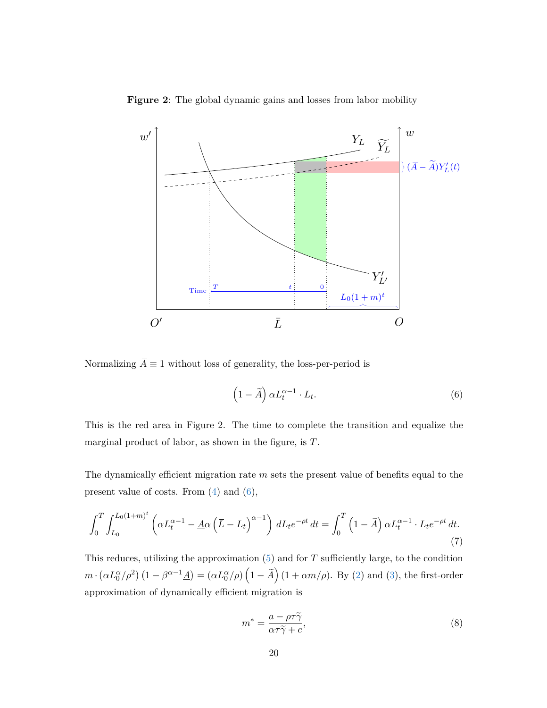

<span id="page-22-0"></span>**Figure 2**: The global dynamic gains and losses from labor mobility

Normalizing  $\overline{A} \equiv 1$  without loss of generality, the loss-per-period is

<span id="page-22-1"></span>
$$
\left(1 - \widetilde{A}\right) \alpha L_t^{\alpha - 1} \cdot L_t. \tag{6}
$$

This is the red area in Figure 2. The time to complete the transition and equalize the marginal product of labor, as shown in the figure, is *T*.

The dynamically efficient migration rate *m* sets the present value of benefits equal to the present value of costs. From [\(4\)](#page-20-1) and [\(6\)](#page-22-1),

$$
\int_0^T \int_{L_0}^{L_0(1+m)^t} \left( \alpha L_t^{\alpha-1} - \underline{A} \alpha \left( \overline{L} - L_t \right)^{\alpha-1} \right) dL_t e^{-\rho t} dt = \int_0^T \left( 1 - \tilde{A} \right) \alpha L_t^{\alpha-1} \cdot L_t e^{-\rho t} dt. \tag{7}
$$

This reduces, utilizing the approximation [\(5\)](#page-21-1) and for *T* sufficiently large, to the condition  $m \cdot (\alpha L_0^{\alpha}/\rho^2) (1 - \beta^{\alpha - 1} \underline{A}) = (\alpha L_0^{\alpha}/\rho) (1 - \widetilde{A}) (1 + \alpha m/\rho)$ . By [\(2\)](#page-20-2) and [\(3\)](#page-20-0), the first-order approximation of dynamically efficient migration is

<span id="page-22-2"></span>
$$
m^* = \frac{a - \rho \tau \tilde{\gamma}}{\alpha \tau \tilde{\gamma} + c},\tag{8}
$$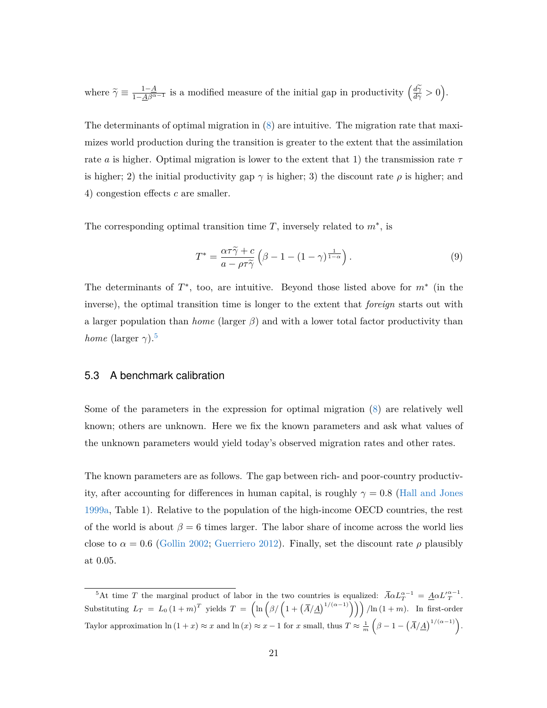where  $\tilde{\gamma} \equiv \frac{1-A}{1-A\beta^{\alpha-1}}$  is a modified measure of the initial gap in productivity  $\left(\frac{d\tilde{\gamma}}{d\gamma} > 0\right)$ .

The determinants of optimal migration in [\(8\)](#page-22-2) are intuitive. The migration rate that maximizes world production during the transition is greater to the extent that the assimilation rate *a* is higher. Optimal migration is lower to the extent that 1) the transmission rate *τ* is higher; 2) the initial productivity gap  $\gamma$  is higher; 3) the discount rate  $\rho$  is higher; and 4) congestion effects *c* are smaller.

The corresponding optimal transition time  $T$ , inversely related to  $m^*$ , is

$$
T^* = \frac{\alpha \tau \tilde{\gamma} + c}{a - \rho \tau \tilde{\gamma}} \left( \beta - 1 - (1 - \gamma)^{\frac{1}{1 - \alpha}} \right).
$$
 (9)

The determinants of  $T^*$ , too, are intuitive. Beyond those listed above for  $m^*$  (in the inverse), the optimal transition time is longer to the extent that *foreign* starts out with a larger population than *home* (larger  $\beta$ ) and with a lower total factor productivity than *home* (larger  $\gamma$ ).<sup>[5](#page-23-0)</sup>

#### 5.3 A benchmark calibration

Some of the parameters in the expression for optimal migration [\(8\)](#page-22-2) are relatively well known; others are unknown. Here we fix the known parameters and ask what values of the unknown parameters would yield today's observed migration rates and other rates.

The known parameters are as follows. The gap between rich- and poor-country productivity, after accounting for differences in human capital, is roughly  $\gamma = 0.8$  [\(Hall and Jones](#page-51-9) [1999a,](#page-51-9) Table 1). Relative to the population of the high-income OECD countries, the rest of the world is about  $\beta = 6$  times larger. The labor share of income across the world lies close to  $\alpha = 0.6$  [\(Gollin](#page-51-10) [2002;](#page-51-10) [Guerriero](#page-51-11) [2012\)](#page-51-11). Finally, set the discount rate  $\rho$  plausibly at 0.05.

<span id="page-23-0"></span><sup>&</sup>lt;sup>5</sup>At time *T* the marginal product of labor in the two countries is equalized:  $\bar{A}\alpha L_T^{\alpha-1} = \underline{A}\alpha L_T^{\alpha-1}$ . Substituting  $L_T = L_0 (1 + m)^T$  yields  $T = \left( \ln \left( \frac{\beta}{\left( 1 + \left( \overline{A}/A \right)^{1/(\alpha-1)}} \right) \right) \right) / \ln \left( 1 + m \right)$ . In first-order Taylor approximation  $\ln(1+x) \approx x$  and  $\ln(x) \approx x - 1$  for *x* small, thus  $T \approx \frac{1}{m} \left(\beta - 1 - \left(\frac{\overline{A}}{\underline{A}}\right)^{1/(\alpha-1)}\right)$ .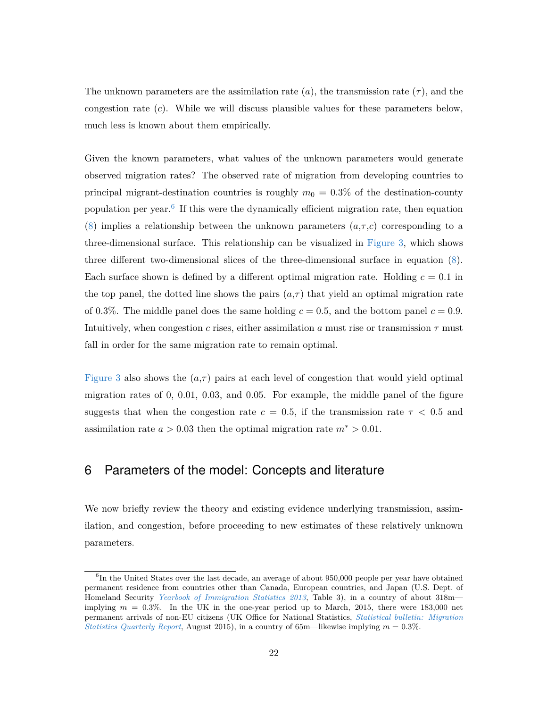The unknown parameters are the assimilation rate  $(a)$ , the transmission rate  $(\tau)$ , and the congestion rate (*c*). While we will discuss plausible values for these parameters below, much less is known about them empirically.

Given the known parameters, what values of the unknown parameters would generate observed migration rates? The observed rate of migration from developing countries to principal migrant-destination countries is roughly  $m_0 = 0.3\%$  of the destination-county population per year.<sup>[6](#page-24-0)</sup> If this were the dynamically efficient migration rate, then equation [\(8\)](#page-22-2) implies a relationship between the unknown parameters  $(a, \tau, c)$  corresponding to a three-dimensional surface. This relationship can be visualized in [Figure 3,](#page-25-0) which shows three different two-dimensional slices of the three-dimensional surface in equation [\(8\)](#page-22-2). Each surface shown is defined by a different optimal migration rate. Holding  $c = 0.1$  in the top panel, the dotted line shows the pairs  $(a,\tau)$  that yield an optimal migration rate of 0.3%. The middle panel does the same holding  $c = 0.5$ , and the bottom panel  $c = 0.9$ . Intuitively, when congestion *c* rises, either assimilation *a* must rise or transmission  $\tau$  must fall in order for the same migration rate to remain optimal.

[Figure 3](#page-25-0) also shows the  $(a,\tau)$  pairs at each level of congestion that would yield optimal migration rates of 0, 0*.*01, 0*.*03, and 0*.*05. For example, the middle panel of the figure suggests that when the congestion rate  $c = 0.5$ , if the transmission rate  $\tau < 0.5$  and assimilation rate  $a > 0.03$  then the optimal migration rate  $m^* > 0.01$ .

## 6 Parameters of the model: Concepts and literature

We now briefly review the theory and existing evidence underlying transmission, assimilation, and congestion, before proceeding to new estimates of these relatively unknown parameters.

<span id="page-24-0"></span><sup>&</sup>lt;sup>6</sup>In the United States over the last decade, an average of about 950,000 people per year have obtained permanent residence from countries other than Canada, European countries, and Japan (U.S. Dept. of Homeland Security *[Yearbook of Immigration Statistics 2013](http://www.dhs.gov/publication/yearbook-immigration-statistics-2013-lawful-permanent-residents)*, Table 3), in a country of about 318m implying  $m = 0.3\%$ . In the UK in the one-year period up to March, 2015, there were 183,000 net permanent arrivals of non-EU citizens (UK Office for National Statistics, *[Statistical bulletin: Migration](http://www.ons.gov.uk/ons/rel/migration1/migration-statistics-quarterly-report/august-2015/stb-msqr-august-2015.html#tab-Net-migration-to-the-UK) [Statistics Quarterly Report](http://www.ons.gov.uk/ons/rel/migration1/migration-statistics-quarterly-report/august-2015/stb-msqr-august-2015.html#tab-Net-migration-to-the-UK)*, August 2015), in a country of 65m—likewise implying *m* = 0.3%.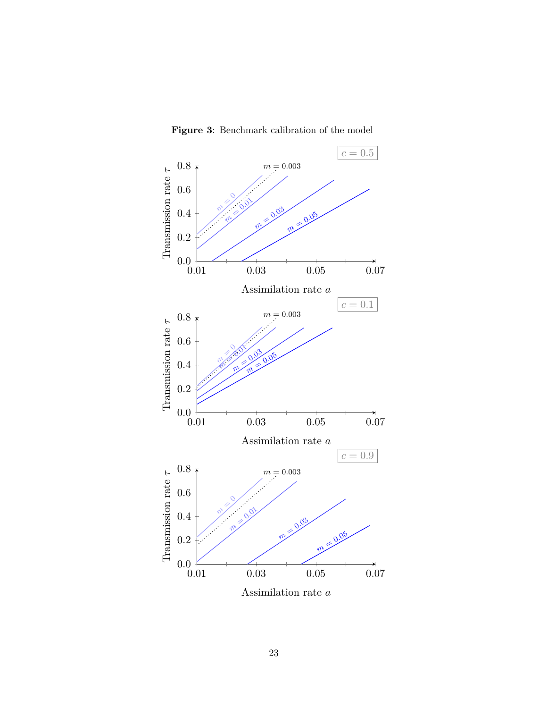<span id="page-25-0"></span>

**Figure 3**: Benchmark calibration of the model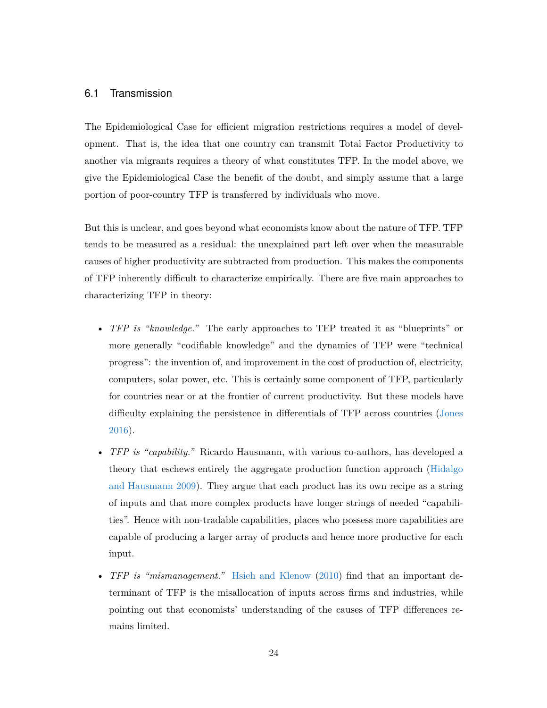#### 6.1 Transmission

The Epidemiological Case for efficient migration restrictions requires a model of development. That is, the idea that one country can transmit Total Factor Productivity to another via migrants requires a theory of what constitutes TFP. In the model above, we give the Epidemiological Case the benefit of the doubt, and simply assume that a large portion of poor-country TFP is transferred by individuals who move.

But this is unclear, and goes beyond what economists know about the nature of TFP. TFP tends to be measured as a residual: the unexplained part left over when the measurable causes of higher productivity are subtracted from production. This makes the components of TFP inherently difficult to characterize empirically. There are five main approaches to characterizing TFP in theory:

- *TFP is "knowledge."* The early approaches to TFP treated it as "blueprints" or more generally "codifiable knowledge" and the dynamics of TFP were "technical progress": the invention of, and improvement in the cost of production of, electricity, computers, solar power, etc. This is certainly some component of TFP, particularly for countries near or at the frontier of current productivity. But these models have difficulty explaining the persistence in differentials of TFP across countries [\(Jones](#page-52-4) [2016\)](#page-52-4).
- *TFP is "capability."* Ricardo Hausmann, with various co-authors, has developed a theory that eschews entirely the aggregate production function approach [\(Hidalgo](#page-52-11) [and Hausmann](#page-52-11) [2009\)](#page-52-11). They argue that each product has its own recipe as a string of inputs and that more complex products have longer strings of needed "capabilities". Hence with non-tradable capabilities, places who possess more capabilities are capable of producing a larger array of products and hence more productive for each input.
- *TFP is "mismanagement."* [Hsieh and Klenow](#page-52-12) [\(2010\)](#page-52-12) find that an important determinant of TFP is the misallocation of inputs across firms and industries, while pointing out that economists' understanding of the causes of TFP differences remains limited.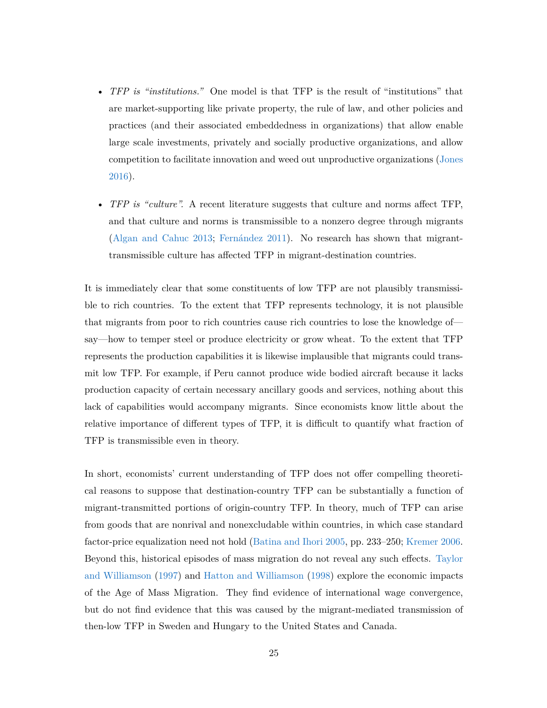- *TFP is "institutions."* One model is that TFP is the result of "institutions" that are market-supporting like private property, the rule of law, and other policies and practices (and their associated embeddedness in organizations) that allow enable large scale investments, privately and socially productive organizations, and allow competition to facilitate innovation and weed out unproductive organizations [\(Jones](#page-52-4) [2016\)](#page-52-4).
- *TFP is "culture".* A recent literature suggests that culture and norms affect TFP, and that culture and norms is transmissible to a nonzero degree through migrants [\(Algan and Cahuc](#page-48-3) [2013;](#page-48-3) [Fernández](#page-51-2) [2011\)](#page-51-2). No research has shown that migranttransmissible culture has affected TFP in migrant-destination countries.

It is immediately clear that some constituents of low TFP are not plausibly transmissible to rich countries. To the extent that TFP represents technology, it is not plausible that migrants from poor to rich countries cause rich countries to lose the knowledge of say—how to temper steel or produce electricity or grow wheat. To the extent that TFP represents the production capabilities it is likewise implausible that migrants could transmit low TFP. For example, if Peru cannot produce wide bodied aircraft because it lacks production capacity of certain necessary ancillary goods and services, nothing about this lack of capabilities would accompany migrants. Since economists know little about the relative importance of different types of TFP, it is difficult to quantify what fraction of TFP is transmissible even in theory.

In short, economists' current understanding of TFP does not offer compelling theoretical reasons to suppose that destination-country TFP can be substantially a function of migrant-transmitted portions of origin-country TFP. In theory, much of TFP can arise from goods that are nonrival and nonexcludable within countries, in which case standard factor-price equalization need not hold [\(Batina and Ihori](#page-49-14) [2005,](#page-49-14) pp. 233–250; [Kremer](#page-52-13) [2006.](#page-52-13) Beyond this, historical episodes of mass migration do not reveal any such effects. [Taylor](#page-54-10) [and Williamson](#page-54-10) [\(1997\)](#page-54-10) and [Hatton and Williamson](#page-52-14) [\(1998\)](#page-52-14) explore the economic impacts of the Age of Mass Migration. They find evidence of international wage convergence, but do not find evidence that this was caused by the migrant-mediated transmission of then-low TFP in Sweden and Hungary to the United States and Canada.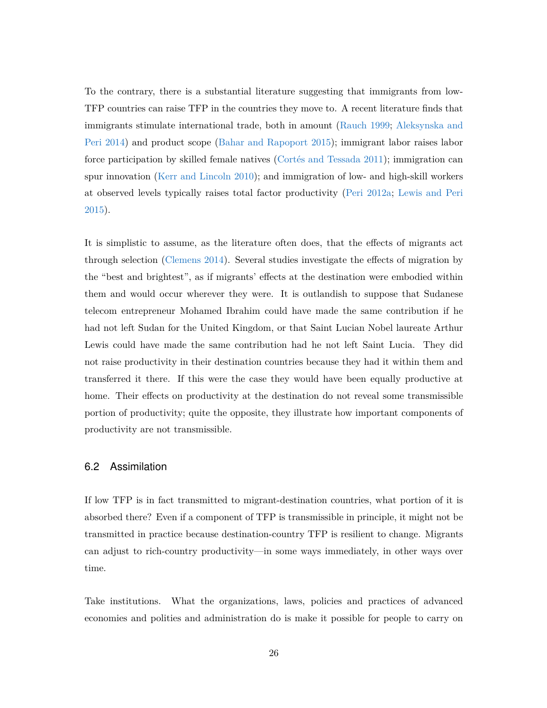To the contrary, there is a substantial literature suggesting that immigrants from low-TFP countries can raise TFP in the countries they move to. A recent literature finds that immigrants stimulate international trade, both in amount [\(Rauch](#page-54-11) [1999;](#page-54-11) [Aleksynska and](#page-48-6) [Peri](#page-48-6) [2014\)](#page-48-6) and product scope [\(Bahar and Rapoport](#page-48-7) [2015\)](#page-48-7); immigrant labor raises labor force participation by skilled female natives [\(Cortés and Tessada](#page-50-14) [2011\)](#page-50-14); immigration can spur innovation [\(Kerr and Lincoln](#page-52-15) [2010\)](#page-52-15); and immigration of low- and high-skill workers at observed levels typically raises total factor productivity [\(Peri](#page-54-12) [2012a;](#page-54-12) [Lewis and Peri](#page-53-4) [2015\)](#page-53-4).

It is simplistic to assume, as the literature often does, that the effects of migrants act through selection [\(Clemens](#page-50-15) [2014\)](#page-50-15). Several studies investigate the effects of migration by the "best and brightest", as if migrants' effects at the destination were embodied within them and would occur wherever they were. It is outlandish to suppose that Sudanese telecom entrepreneur Mohamed Ibrahim could have made the same contribution if he had not left Sudan for the United Kingdom, or that Saint Lucian Nobel laureate Arthur Lewis could have made the same contribution had he not left Saint Lucia. They did not raise productivity in their destination countries because they had it within them and transferred it there. If this were the case they would have been equally productive at home. Their effects on productivity at the destination do not reveal some transmissible portion of productivity; quite the opposite, they illustrate how important components of productivity are not transmissible.

#### 6.2 Assimilation

If low TFP is in fact transmitted to migrant-destination countries, what portion of it is absorbed there? Even if a component of TFP is transmissible in principle, it might not be transmitted in practice because destination-country TFP is resilient to change. Migrants can adjust to rich-country productivity—in some ways immediately, in other ways over time.

Take institutions. What the organizations, laws, policies and practices of advanced economies and polities and administration do is make it possible for people to carry on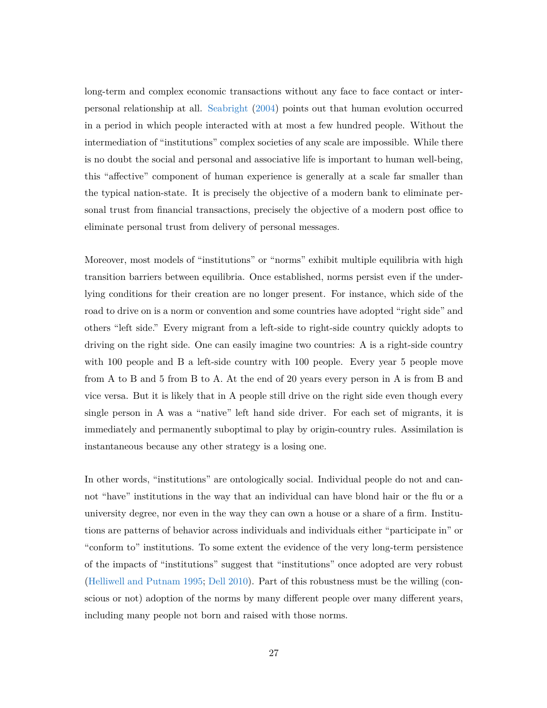long-term and complex economic transactions without any face to face contact or interpersonal relationship at all. [Seabright](#page-54-13) [\(2004\)](#page-54-13) points out that human evolution occurred in a period in which people interacted with at most a few hundred people. Without the intermediation of "institutions" complex societies of any scale are impossible. While there is no doubt the social and personal and associative life is important to human well-being, this "affective" component of human experience is generally at a scale far smaller than the typical nation-state. It is precisely the objective of a modern bank to eliminate personal trust from financial transactions, precisely the objective of a modern post office to eliminate personal trust from delivery of personal messages.

Moreover, most models of "institutions" or "norms" exhibit multiple equilibria with high transition barriers between equilibria. Once established, norms persist even if the underlying conditions for their creation are no longer present. For instance, which side of the road to drive on is a norm or convention and some countries have adopted "right side" and others "left side." Every migrant from a left-side to right-side country quickly adopts to driving on the right side. One can easily imagine two countries: A is a right-side country with 100 people and B a left-side country with 100 people. Every year 5 people move from A to B and 5 from B to A. At the end of 20 years every person in A is from B and vice versa. But it is likely that in A people still drive on the right side even though every single person in A was a "native" left hand side driver. For each set of migrants, it is immediately and permanently suboptimal to play by origin-country rules. Assimilation is instantaneous because any other strategy is a losing one.

In other words, "institutions" are ontologically social. Individual people do not and cannot "have" institutions in the way that an individual can have blond hair or the flu or a university degree, nor even in the way they can own a house or a share of a firm. Institutions are patterns of behavior across individuals and individuals either "participate in" or "conform to" institutions. To some extent the evidence of the very long-term persistence of the impacts of "institutions" suggest that "institutions" once adopted are very robust [\(Helliwell and Putnam](#page-52-16) [1995;](#page-52-16) [Dell](#page-51-12) [2010\)](#page-51-12). Part of this robustness must be the willing (conscious or not) adoption of the norms by many different people over many different years, including many people not born and raised with those norms.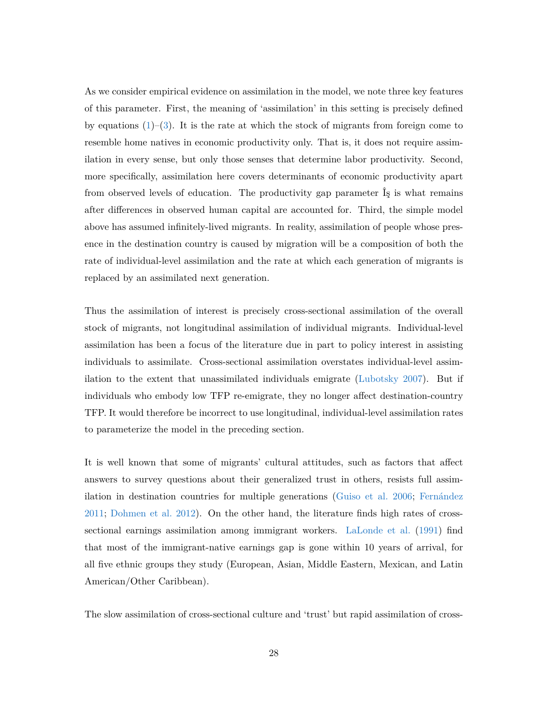As we consider empirical evidence on assimilation in the model, we note three key features of this parameter. First, the meaning of 'assimilation' in this setting is precisely defined by equations  $(1)-(3)$  $(1)-(3)$  $(1)-(3)$ . It is the rate at which the stock of migrants from foreign come to resemble home natives in economic productivity only. That is, it does not require assimilation in every sense, but only those senses that determine labor productivity. Second, more specifically, assimilation here covers determinants of economic productivity apart from observed levels of education. The productivity gap parameter Îş is what remains after differences in observed human capital are accounted for. Third, the simple model above has assumed infinitely-lived migrants. In reality, assimilation of people whose presence in the destination country is caused by migration will be a composition of both the rate of individual-level assimilation and the rate at which each generation of migrants is replaced by an assimilated next generation.

Thus the assimilation of interest is precisely cross-sectional assimilation of the overall stock of migrants, not longitudinal assimilation of individual migrants. Individual-level assimilation has been a focus of the literature due in part to policy interest in assisting individuals to assimilate. Cross-sectional assimilation overstates individual-level assimilation to the extent that unassimilated individuals emigrate [\(Lubotsky](#page-53-13) [2007\)](#page-53-13). But if individuals who embody low TFP re-emigrate, they no longer affect destination-country TFP. It would therefore be incorrect to use longitudinal, individual-level assimilation rates to parameterize the model in the preceding section.

It is well known that some of migrants' cultural attitudes, such as factors that affect answers to survey questions about their generalized trust in others, resists full assimilation in destination countries for multiple generations [\(Guiso et al.](#page-51-13) [2006;](#page-51-13) [Fernández](#page-51-2) [2011;](#page-51-2) [Dohmen et al.](#page-51-14) [2012\)](#page-51-14). On the other hand, the literature finds high rates of crosssectional earnings assimilation among immigrant workers. [LaLonde et al.](#page-53-14) [\(1991\)](#page-53-14) find that most of the immigrant-native earnings gap is gone within 10 years of arrival, for all five ethnic groups they study (European, Asian, Middle Eastern, Mexican, and Latin American/Other Caribbean).

The slow assimilation of cross-sectional culture and 'trust' but rapid assimilation of cross-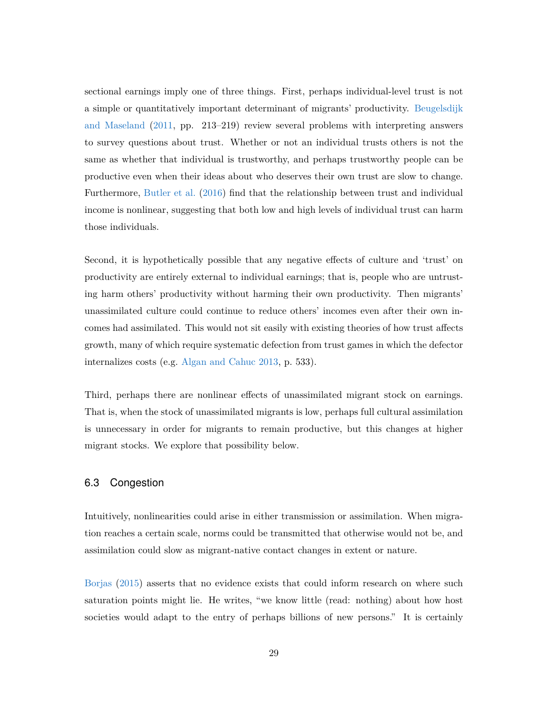sectional earnings imply one of three things. First, perhaps individual-level trust is not a simple or quantitatively important determinant of migrants' productivity. [Beugelsdijk](#page-49-7) [and Maseland](#page-49-7) [\(2011,](#page-49-7) pp. 213–219) review several problems with interpreting answers to survey questions about trust. Whether or not an individual trusts others is not the same as whether that individual is trustworthy, and perhaps trustworthy people can be productive even when their ideas about who deserves their own trust are slow to change. Furthermore, [Butler et al.](#page-50-16) [\(2016\)](#page-50-16) find that the relationship between trust and individual income is nonlinear, suggesting that both low and high levels of individual trust can harm those individuals.

Second, it is hypothetically possible that any negative effects of culture and 'trust' on productivity are entirely external to individual earnings; that is, people who are untrusting harm others' productivity without harming their own productivity. Then migrants' unassimilated culture could continue to reduce others' incomes even after their own incomes had assimilated. This would not sit easily with existing theories of how trust affects growth, many of which require systematic defection from trust games in which the defector internalizes costs (e.g. [Algan and Cahuc](#page-48-3) [2013,](#page-48-3) p. 533).

Third, perhaps there are nonlinear effects of unassimilated migrant stock on earnings. That is, when the stock of unassimilated migrants is low, perhaps full cultural assimilation is unnecessary in order for migrants to remain productive, but this changes at higher migrant stocks. We explore that possibility below.

## 6.3 Congestion

Intuitively, nonlinearities could arise in either transmission or assimilation. When migration reaches a certain scale, norms could be transmitted that otherwise would not be, and assimilation could slow as migrant-native contact changes in extent or nature.

[Borjas](#page-49-6) [\(2015\)](#page-49-6) asserts that no evidence exists that could inform research on where such saturation points might lie. He writes, "we know little (read: nothing) about how host societies would adapt to the entry of perhaps billions of new persons." It is certainly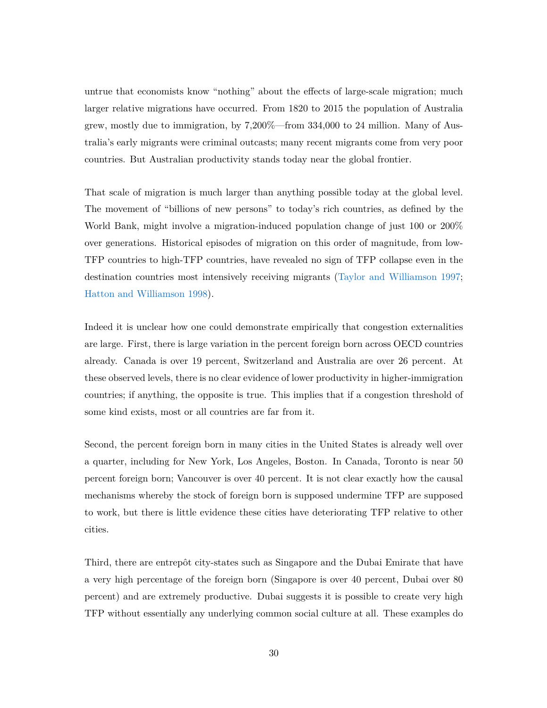untrue that economists know "nothing" about the effects of large-scale migration; much larger relative migrations have occurred. From 1820 to 2015 the population of Australia grew, mostly due to immigration, by 7,200%—from 334,000 to 24 million. Many of Australia's early migrants were criminal outcasts; many recent migrants come from very poor countries. But Australian productivity stands today near the global frontier.

That scale of migration is much larger than anything possible today at the global level. The movement of "billions of new persons" to today's rich countries, as defined by the World Bank, might involve a migration-induced population change of just 100 or 200% over generations. Historical episodes of migration on this order of magnitude, from low-TFP countries to high-TFP countries, have revealed no sign of TFP collapse even in the destination countries most intensively receiving migrants [\(Taylor and Williamson](#page-54-10) [1997;](#page-54-10) [Hatton and Williamson](#page-52-14) [1998\)](#page-52-14).

Indeed it is unclear how one could demonstrate empirically that congestion externalities are large. First, there is large variation in the percent foreign born across OECD countries already. Canada is over 19 percent, Switzerland and Australia are over 26 percent. At these observed levels, there is no clear evidence of lower productivity in higher-immigration countries; if anything, the opposite is true. This implies that if a congestion threshold of some kind exists, most or all countries are far from it.

Second, the percent foreign born in many cities in the United States is already well over a quarter, including for New York, Los Angeles, Boston. In Canada, Toronto is near 50 percent foreign born; Vancouver is over 40 percent. It is not clear exactly how the causal mechanisms whereby the stock of foreign born is supposed undermine TFP are supposed to work, but there is little evidence these cities have deteriorating TFP relative to other cities.

Third, there are entrepôt city-states such as Singapore and the Dubai Emirate that have a very high percentage of the foreign born (Singapore is over 40 percent, Dubai over 80 percent) and are extremely productive. Dubai suggests it is possible to create very high TFP without essentially any underlying common social culture at all. These examples do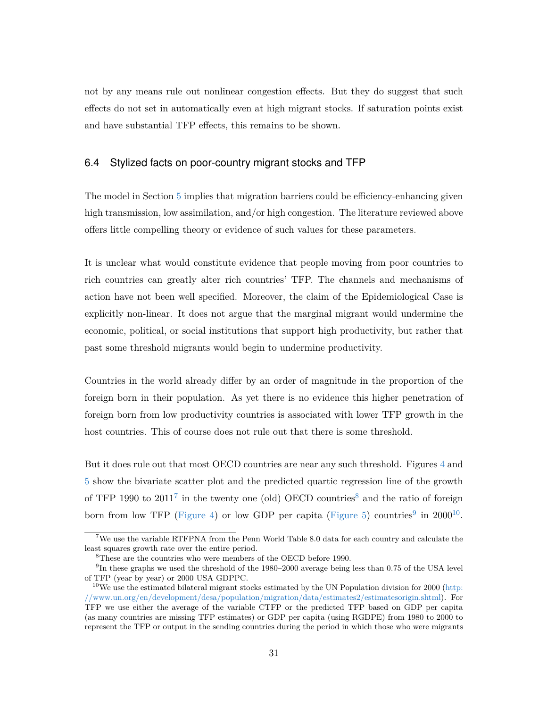not by any means rule out nonlinear congestion effects. But they do suggest that such effects do not set in automatically even at high migrant stocks. If saturation points exist and have substantial TFP effects, this remains to be shown.

#### 6.4 Stylized facts on poor-country migrant stocks and TFP

The model in Section [5](#page-18-0) implies that migration barriers could be efficiency-enhancing given high transmission, low assimilation, and/or high congestion. The literature reviewed above offers little compelling theory or evidence of such values for these parameters.

It is unclear what would constitute evidence that people moving from poor countries to rich countries can greatly alter rich countries' TFP. The channels and mechanisms of action have not been well specified. Moreover, the claim of the Epidemiological Case is explicitly non-linear. It does not argue that the marginal migrant would undermine the economic, political, or social institutions that support high productivity, but rather that past some threshold migrants would begin to undermine productivity.

Countries in the world already differ by an order of magnitude in the proportion of the foreign born in their population. As yet there is no evidence this higher penetration of foreign born from low productivity countries is associated with lower TFP growth in the host countries. This of course does not rule out that there is some threshold.

But it does rule out that most OECD countries are near any such threshold. Figures [4](#page-34-0) and [5](#page-35-0) show the bivariate scatter plot and the predicted quartic regression line of the growth of TFP 1990 to  $2011^7$  $2011^7$  in the twenty one (old) OECD countries<sup>[8](#page-33-1)</sup> and the ratio of foreign born from low TFP [\(Figure 4\)](#page-34-0) or low GDP per capita [\(Figure 5\)](#page-35-0) countries<sup>[9](#page-33-2)</sup> in  $2000^{10}$  $2000^{10}$  $2000^{10}$ .

<span id="page-33-0"></span><sup>7</sup>We use the variable RTFPNA from the Penn World Table 8.0 data for each country and calculate the least squares growth rate over the entire period.

<span id="page-33-2"></span><span id="page-33-1"></span><sup>8</sup>These are the countries who were members of the OECD before 1990.

<sup>&</sup>lt;sup>9</sup>In these graphs we used the threshold of the 1980–2000 average being less than 0.75 of the USA level of TFP (year by year) or 2000 USA GDPPC.

<span id="page-33-3"></span><sup>&</sup>lt;sup>10</sup>We use the estimated bilateral migrant stocks estimated by the UN Population division for 2000 [\(http:](http://www.un.org/en/development/desa/population/migration/data/estimates2/estimatesorigin.shtml) [//www.un.org/en/development/desa/population/migration/data/estimates2/estimatesorigin.shtml\)](http://www.un.org/en/development/desa/population/migration/data/estimates2/estimatesorigin.shtml). For TFP we use either the average of the variable CTFP or the predicted TFP based on GDP per capita (as many countries are missing TFP estimates) or GDP per capita (using RGDPE) from 1980 to 2000 to represent the TFP or output in the sending countries during the period in which those who were migrants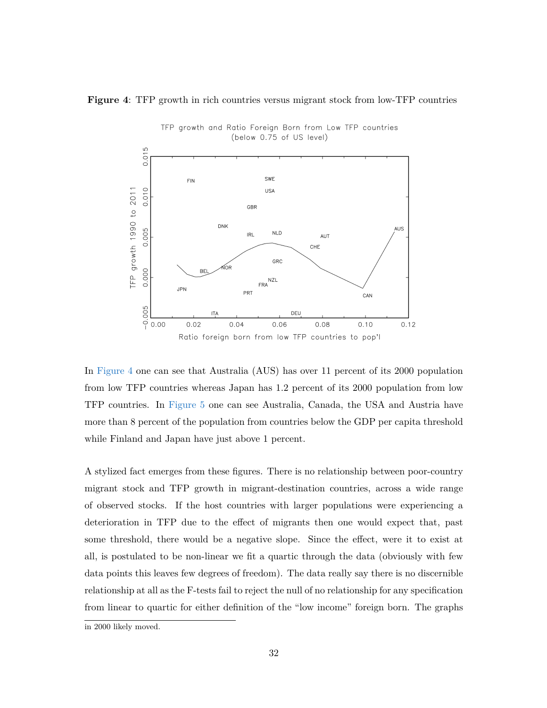#### <span id="page-34-0"></span>**Figure 4**: TFP growth in rich countries versus migrant stock from low-TFP countries



TFP growth and Ratio Foreign Born from Low TFP countries (below 0.75 of US level)

In [Figure 4](#page-34-0) one can see that Australia (AUS) has over 11 percent of its 2000 population from low TFP countries whereas Japan has 1.2 percent of its 2000 population from low TFP countries. In [Figure 5](#page-35-0) one can see Australia, Canada, the USA and Austria have more than 8 percent of the population from countries below the GDP per capita threshold while Finland and Japan have just above 1 percent.

A stylized fact emerges from these figures. There is no relationship between poor-country migrant stock and TFP growth in migrant-destination countries, across a wide range of observed stocks. If the host countries with larger populations were experiencing a deterioration in TFP due to the effect of migrants then one would expect that, past some threshold, there would be a negative slope. Since the effect, were it to exist at all, is postulated to be non-linear we fit a quartic through the data (obviously with few data points this leaves few degrees of freedom). The data really say there is no discernible relationship at all as the F-tests fail to reject the null of no relationship for any specification from linear to quartic for either definition of the "low income" foreign born. The graphs

in 2000 likely moved.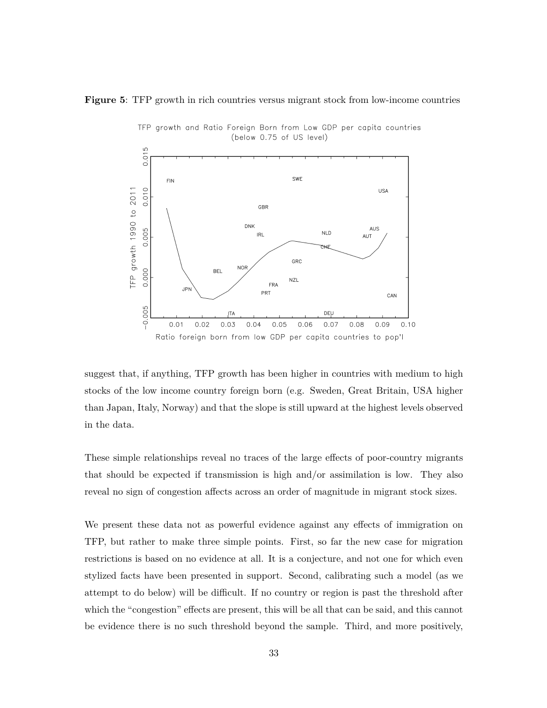#### <span id="page-35-0"></span>**Figure 5**: TFP growth in rich countries versus migrant stock from low-income countries



TFP growth and Ratio Foreign Born from Low GDP per capita countries (below 0.75 of US level)

suggest that, if anything, TFP growth has been higher in countries with medium to high stocks of the low income country foreign born (e.g. Sweden, Great Britain, USA higher than Japan, Italy, Norway) and that the slope is still upward at the highest levels observed in the data.

These simple relationships reveal no traces of the large effects of poor-country migrants that should be expected if transmission is high and/or assimilation is low. They also reveal no sign of congestion affects across an order of magnitude in migrant stock sizes.

We present these data not as powerful evidence against any effects of immigration on TFP, but rather to make three simple points. First, so far the new case for migration restrictions is based on no evidence at all. It is a conjecture, and not one for which even stylized facts have been presented in support. Second, calibrating such a model (as we attempt to do below) will be difficult. If no country or region is past the threshold after which the "congestion" effects are present, this will be all that can be said, and this cannot be evidence there is no such threshold beyond the sample. Third, and more positively,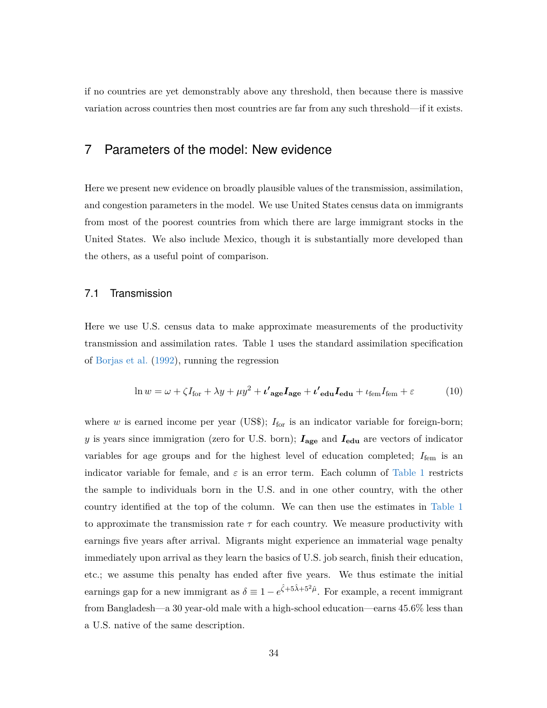if no countries are yet demonstrably above any threshold, then because there is massive variation across countries then most countries are far from any such threshold—if it exists.

## 7 Parameters of the model: New evidence

Here we present new evidence on broadly plausible values of the transmission, assimilation, and congestion parameters in the model. We use United States census data on immigrants from most of the poorest countries from which there are large immigrant stocks in the United States. We also include Mexico, though it is substantially more developed than the others, as a useful point of comparison.

#### 7.1 Transmission

Here we use U.S. census data to make approximate measurements of the productivity transmission and assimilation rates. Table 1 uses the standard assimilation specification of [Borjas et al.](#page-50-17) [\(1992\)](#page-50-17), running the regression

$$
\ln w = \omega + \zeta I_{\text{for}} + \lambda y + \mu y^2 + \iota_{\text{age}} I_{\text{age}} + \iota_{\text{edu}} I_{\text{edu}} + \iota_{\text{fem}} I_{\text{fem}} + \varepsilon \tag{10}
$$

where  $w$  is earned income per year (US\$);  $I_{\text{for}}$  is an indicator variable for foreign-born; *y* is years since immigration (zero for U.S. born); *I***age** and *I***edu** are vectors of indicator variables for age groups and for the highest level of education completed;  $I_{\text{fem}}$  is an indicator variable for female, and  $\varepsilon$  is an error term. Each column of [Table 1](#page-37-0) restricts the sample to individuals born in the U.S. and in one other country, with the other country identified at the top of the column. We can then use the estimates in [Table 1](#page-37-0) to approximate the transmission rate  $\tau$  for each country. We measure productivity with earnings five years after arrival. Migrants might experience an immaterial wage penalty immediately upon arrival as they learn the basics of U.S. job search, finish their education, etc.; we assume this penalty has ended after five years. We thus estimate the initial earnings gap for a new immigrant as  $\delta = 1 - e^{\hat{\zeta} + 5\hat{\lambda} + 5^2 \hat{\mu}}$ . For example, a recent immigrant from Bangladesh—a 30 year-old male with a high-school education—earns 45.6% less than a U.S. native of the same description.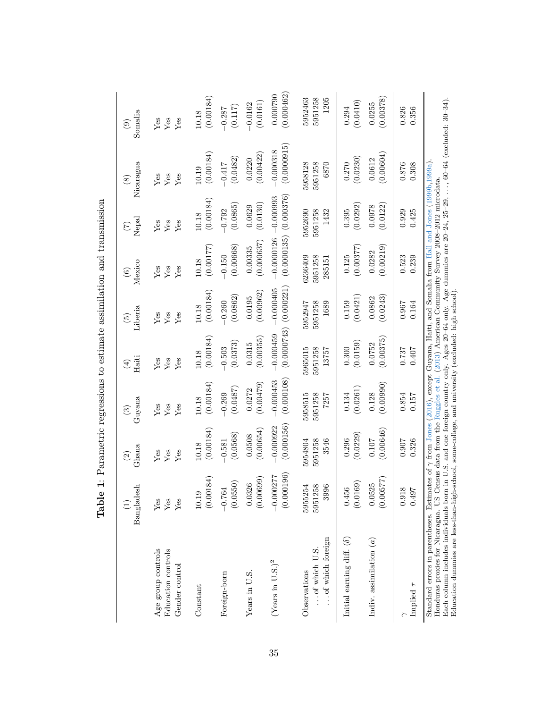<span id="page-37-0"></span>

|                                                                                                                                                                                                                                                                                                                                                                                                                                                                                                                                                     | Bangladesh                | Ghana                     | Guyana                    | Haiti                      | Liberia                   | Mexico       | Nepal                                     | Nicaragua                  | Somalia                |
|-----------------------------------------------------------------------------------------------------------------------------------------------------------------------------------------------------------------------------------------------------------------------------------------------------------------------------------------------------------------------------------------------------------------------------------------------------------------------------------------------------------------------------------------------------|---------------------------|---------------------------|---------------------------|----------------------------|---------------------------|--------------|-------------------------------------------|----------------------------|------------------------|
|                                                                                                                                                                                                                                                                                                                                                                                                                                                                                                                                                     | Ξ                         | $\odot$                   | $\widehat{\mathfrak{S}}$  | $\bigoplus$                | $\widehat{E}$             | $\odot$      | $\widetilde{\mathcal{L}}$                 | $\circledast$              | $\circledcirc$         |
| Age group controls                                                                                                                                                                                                                                                                                                                                                                                                                                                                                                                                  | Yes                       | Yes                       | Yes                       | ${\rm Yes}$                | Yes                       | ${\rm Yes}$  | Yes                                       | Yes                        | Yes                    |
| Education controls                                                                                                                                                                                                                                                                                                                                                                                                                                                                                                                                  | Yes                       | Yes                       | Yes                       | ${\rm Yes}$                | Yes                       | ${\rm Yes}$  | Yes                                       | Yes                        | ${\rm Yes}$            |
| Gender control                                                                                                                                                                                                                                                                                                                                                                                                                                                                                                                                      | Yes                       | Yes                       | ${\rm Yes}$               | Yes                        | Yes                       | Yes          | Yes                                       | ${\rm Yes}$                | ${\rm Yes}$            |
| Constant                                                                                                                                                                                                                                                                                                                                                                                                                                                                                                                                            | (0.00184)                 | (0.00184)                 | (0.00184)                 | (0.00184)                  | (0.00184)                 | (0.00177)    | (0.00184)                                 | (0.00184)                  | (0.00184)              |
|                                                                                                                                                                                                                                                                                                                                                                                                                                                                                                                                                     | 10.19                     | 10.18                     | 10.18                     | 10.18                      | 10.18                     | 10.18        | 10.18                                     | 10.19                      | 10.18                  |
| Foreign-born                                                                                                                                                                                                                                                                                                                                                                                                                                                                                                                                        | (0.0550)                  | (0.0568)                  | (0.0487)                  | (0.0373)                   | (0.0862)                  | (0.00668)    | (0.0865)                                  | (0.0482)                   | (0.117)                |
|                                                                                                                                                                                                                                                                                                                                                                                                                                                                                                                                                     | $-0.764$                  | $-0.581$                  | $-0.269$                  | $-0.503$                   | $-0.260$                  | $-0.150$     | $-0.792$                                  | $-0.417$                   | $-0.287$               |
| Years in U.S.                                                                                                                                                                                                                                                                                                                                                                                                                                                                                                                                       | (0.00699)                 | (0.00654)                 | (0.00479)                 | (0.00355)                  | (0.00962)                 | (0.000637)   | (0.0130)                                  | (0.00422)                  | (0.0161)               |
|                                                                                                                                                                                                                                                                                                                                                                                                                                                                                                                                                     | 0.0326                    | 0.0508                    | 0.0272                    | 0.0315                     | 0.0195                    | 0.00335      | 0.0629                                    | 0.0220                     | $-0.0162$              |
| (Years in U.S.) $^{2}$                                                                                                                                                                                                                                                                                                                                                                                                                                                                                                                              | (0.000196)<br>$-0.000277$ | (0.000156)<br>$-0.000922$ | (0.000108)<br>$-0.000453$ | (0.0000743)<br>$-0.000459$ | (0.000221)<br>$-0.000405$ | $-0.0000126$ | $(0.0000135)$ $(0.000376)$<br>$-0.000993$ | (0.0000915)<br>$-0.000318$ | (0.000462)<br>0.000790 |
| of which foreign                                                                                                                                                                                                                                                                                                                                                                                                                                                                                                                                    | 3996                      | 3546                      | 5958515                   | 5965015                    | 5952947                   | 6236409      | 5952690                                   | 5958128                    | 5952463                |
| $\dots$ of which U.S.                                                                                                                                                                                                                                                                                                                                                                                                                                                                                                                               | 5955254                   | 5954804                   | 5951258                   | 5951258                    | 5951258                   | 5951258      | 5951258                                   | 5951258                    | 5951258                |
| Observations                                                                                                                                                                                                                                                                                                                                                                                                                                                                                                                                        | 5951258                   | 5951258                   | 7257                      | 13757                      | 1689                      | 285151       | 1432                                      | 6870                       | 1205                   |
| Initial earning diff. $(\delta)$                                                                                                                                                                                                                                                                                                                                                                                                                                                                                                                    | (0.0169)                  | (0.0229)                  | (0.0261)                  | (0.0159)                   | (0.0421)                  | (0.00377)    | (0.0292)                                  | (0.0230)                   | (0.0410)               |
|                                                                                                                                                                                                                                                                                                                                                                                                                                                                                                                                                     | 0.456                     | 0.296                     | 0.134                     | 0.300                      | 0.159                     | 0.125        | 0.395                                     | 0.270                      | 0.294                  |
| Indiv. assimilation $(a)$                                                                                                                                                                                                                                                                                                                                                                                                                                                                                                                           | (0.00577)                 | (0.00646)                 | (0.00990)                 | (0.00375)                  | (0.0243)                  | (0.00219)    | (0.0122)                                  | (0.00604)                  | (0.00378)              |
|                                                                                                                                                                                                                                                                                                                                                                                                                                                                                                                                                     | 0.0525                    | $0.107\,$                 | 0.128                     | 0.0752                     | 0.0862                    | 0.0282       | 0.0978                                    | 0.0612                     | 0.0255                 |
| Implied $\tau$                                                                                                                                                                                                                                                                                                                                                                                                                                                                                                                                      | 0.918                     | 0.907                     | 0.157                     | 0.737                      | 0.967                     | 0.523        | 0.929                                     | 0.876                      | 0.826                  |
|                                                                                                                                                                                                                                                                                                                                                                                                                                                                                                                                                     | 0.497                     | 0.326                     | 0.854                     | 0.407                      | 0.164                     | 0.239        | 0.425                                     | 0.308                      | 0.356                  |
| Each column includes individuals born in U.S. and one foreign country only. Ages 20–64 only. Age dummies are $20-24, 25-29, \ldots, 60-64$ (excluded: 30–34).<br>Standard errors in parentheses. Estimates of $\gamma$ from Jones (2016), except Guyana, Haiti, and Somalia from Hall and Jones (1999b, 1999a).<br>Honduras proxies for Nicaragua. US Census data from the Ruggles et al. (2013) American Community Survey 2008-2012 microdata<br>Education dummies are less-than-high-school, some-college, and university (excluded: high school) |                           |                           |                           |                            |                           |              |                                           |                            |                        |

Table 1: Parametric regressions to estimate assimilation and transmission **Table 1**: Parametric regressions to estimate assimilation and transmission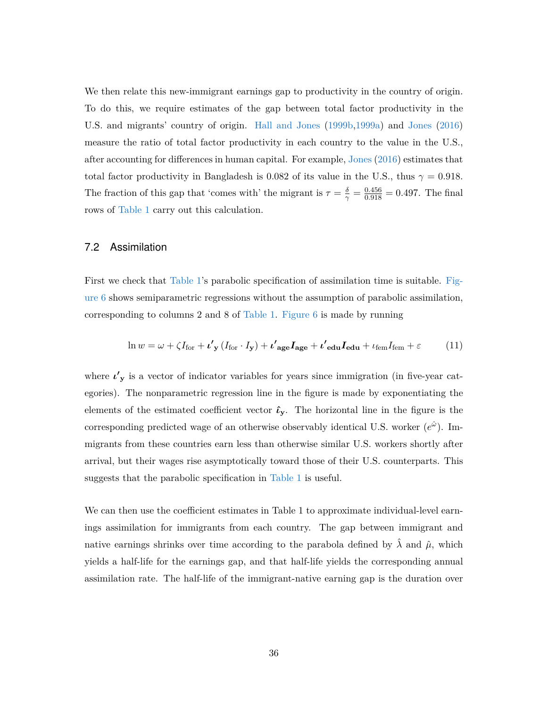We then relate this new-immigrant earnings gap to productivity in the country of origin. To do this, we require estimates of the gap between total factor productivity in the U.S. and migrants' country of origin. [Hall and Jones](#page-51-9) [\(1999b](#page-51-15)[,1999a\)](#page-51-9) and [Jones](#page-52-4) [\(2016\)](#page-52-4) measure the ratio of total factor productivity in each country to the value in the U.S., after accounting for differences in human capital. For example, [Jones](#page-52-4) [\(2016\)](#page-52-4) estimates that total factor productivity in Bangladesh is 0.082 of its value in the U.S., thus  $\gamma = 0.918$ . The fraction of this gap that 'comes with' the migrant is  $\tau = \frac{\delta}{\gamma} = \frac{0.456}{0.918} = 0.497$ . The final rows of [Table 1](#page-37-0) carry out this calculation.

#### 7.2 Assimilation

First we check that [Table 1'](#page-37-0)s parabolic specification of assimilation time is suitable. [Fig](#page-39-0)[ure 6](#page-39-0) shows semiparametric regressions without the assumption of parabolic assimilation, corresponding to columns 2 and 8 of [Table 1.](#page-37-0) [Figure 6](#page-39-0) is made by running

$$
\ln w = \omega + \zeta I_{\text{for}} + \iota'_{\mathbf{y}} (I_{\text{for}} \cdot I_{\mathbf{y}}) + \iota'_{\text{age}} I_{\text{age}} + \iota'_{\text{edu}} I_{\text{edu}} + \iota_{\text{fem}} I_{\text{fem}} + \varepsilon \tag{11}
$$

where  $\mathbf{u}'_{\mathbf{y}}$  is a vector of indicator variables for years since immigration (in five-year categories). The nonparametric regression line in the figure is made by exponentiating the elements of the estimated coefficient vector  $\hat{\mathbf{\i}}_{\mathbf{y}}$ . The horizontal line in the figure is the corresponding predicted wage of an otherwise observably identical U.S. worker  $(e^{\hat{\omega}})$ . Immigrants from these countries earn less than otherwise similar U.S. workers shortly after arrival, but their wages rise asymptotically toward those of their U.S. counterparts. This suggests that the parabolic specification in [Table 1](#page-37-0) is useful.

We can then use the coefficient estimates in Table 1 to approximate individual-level earnings assimilation for immigrants from each country. The gap between immigrant and native earnings shrinks over time according to the parabola defined by  $\hat{\lambda}$  and  $\hat{\mu}$ , which yields a half-life for the earnings gap, and that half-life yields the corresponding annual assimilation rate. The half-life of the immigrant-native earning gap is the duration over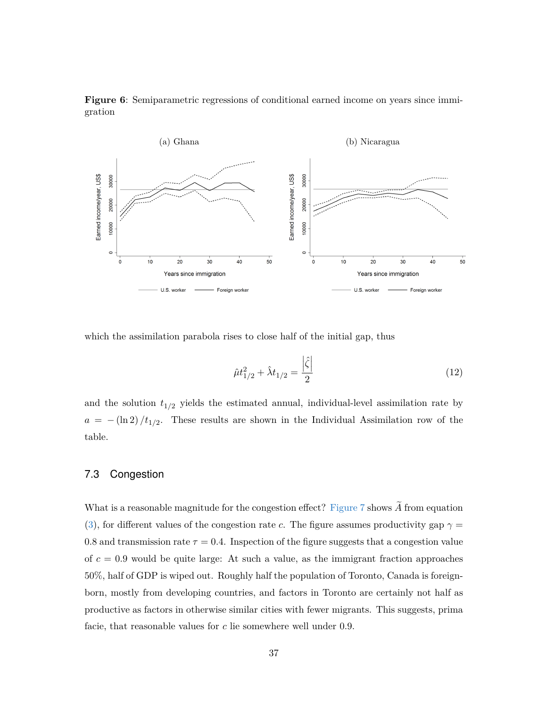

<span id="page-39-0"></span>**Figure 6**: Semiparametric regressions of conditional earned income on years since immigration

which the assimilation parabola rises to close half of the initial gap, thus

$$
\hat{\mu}t_{1/2}^2 + \hat{\lambda}t_{1/2} = \frac{\left|\hat{\zeta}\right|}{2} \tag{12}
$$

and the solution  $t_{1/2}$  yields the estimated annual, individual-level assimilation rate by  $a = -(\ln 2)/t_{1/2}$ . These results are shown in the Individual Assimilation row of the table.

### 7.3 Congestion

What is a reasonable magnitude for the congestion effect? [Figure 7](#page-40-0) shows  $\widetilde{A}$  from equation [\(3\)](#page-20-0), for different values of the congestion rate *c*. The figure assumes productivity gap  $\gamma$  = 0.8 and transmission rate  $\tau = 0.4$ . Inspection of the figure suggests that a congestion value of *c* = 0*.*9 would be quite large: At such a value, as the immigrant fraction approaches 50%, half of GDP is wiped out. Roughly half the population of Toronto, Canada is foreignborn, mostly from developing countries, and factors in Toronto are certainly not half as productive as factors in otherwise similar cities with fewer migrants. This suggests, prima facie, that reasonable values for *c* lie somewhere well under 0.9.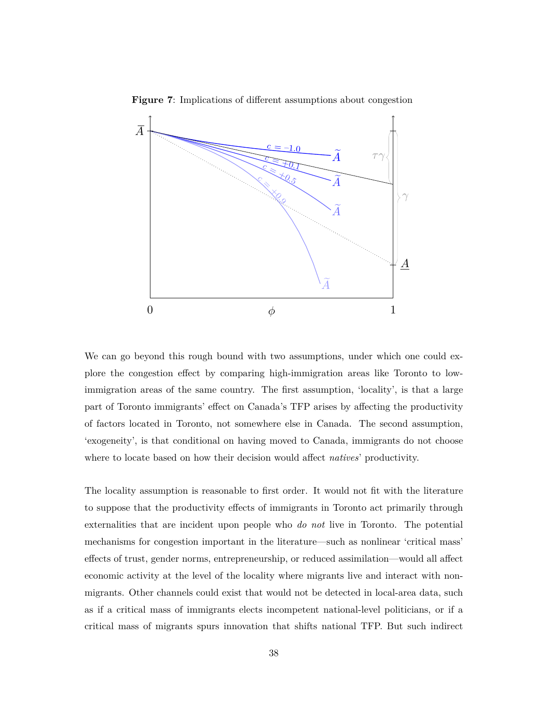

<span id="page-40-0"></span>**Figure 7**: Implications of different assumptions about congestion

We can go beyond this rough bound with two assumptions, under which one could explore the congestion effect by comparing high-immigration areas like Toronto to lowimmigration areas of the same country. The first assumption, 'locality', is that a large part of Toronto immigrants' effect on Canada's TFP arises by affecting the productivity of factors located in Toronto, not somewhere else in Canada. The second assumption, 'exogeneity', is that conditional on having moved to Canada, immigrants do not choose where to locate based on how their decision would affect *natives*' productivity.

The locality assumption is reasonable to first order. It would not fit with the literature to suppose that the productivity effects of immigrants in Toronto act primarily through externalities that are incident upon people who *do not* live in Toronto. The potential mechanisms for congestion important in the literature—such as nonlinear 'critical mass' effects of trust, gender norms, entrepreneurship, or reduced assimilation—would all affect economic activity at the level of the locality where migrants live and interact with nonmigrants. Other channels could exist that would not be detected in local-area data, such as if a critical mass of immigrants elects incompetent national-level politicians, or if a critical mass of migrants spurs innovation that shifts national TFP. But such indirect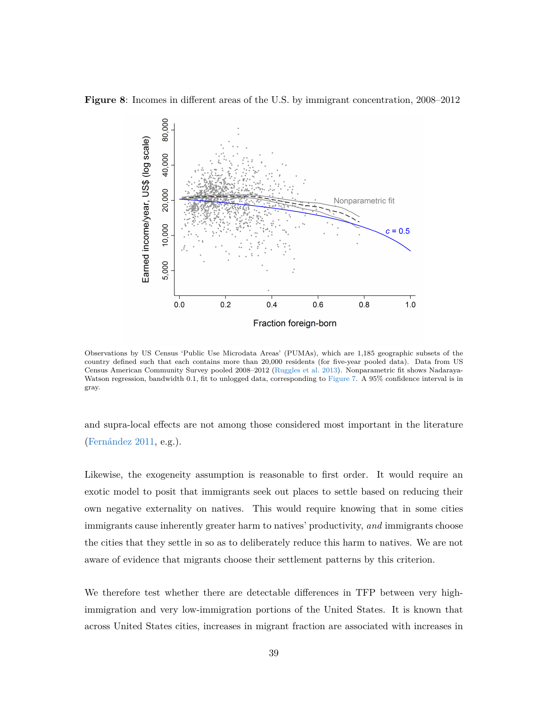<span id="page-41-0"></span>**Figure 8**: Incomes in different areas of the U.S. by immigrant concentration, 2008–2012



Observations by US Census 'Public Use Microdata Areas' (PUMAs), which are 1,185 geographic subsets of the country defined such that each contains more than 20,000 residents (for five-year pooled data). Data from US Census American Community Survey pooled 2008–2012 [\(Ruggles et al.](#page-54-14) [2013\)](#page-54-14). Nonparametric fit shows Nadaraya-Watson regression, bandwidth 0.1, fit to unlogged data, corresponding to [Figure 7.](#page-40-0) A 95% confidence interval is in gray.

and supra-local effects are not among those considered most important in the literature [\(Fernández](#page-51-2) [2011,](#page-51-2) e.g.).

Likewise, the exogeneity assumption is reasonable to first order. It would require an exotic model to posit that immigrants seek out places to settle based on reducing their own negative externality on natives. This would require knowing that in some cities immigrants cause inherently greater harm to natives' productivity, *and* immigrants choose the cities that they settle in so as to deliberately reduce this harm to natives. We are not aware of evidence that migrants choose their settlement patterns by this criterion.

We therefore test whether there are detectable differences in TFP between very highimmigration and very low-immigration portions of the United States. It is known that across United States cities, increases in migrant fraction are associated with increases in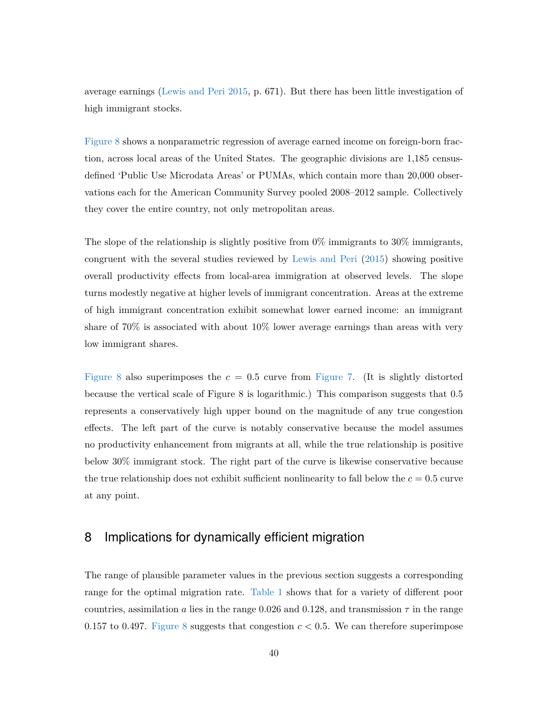average earnings [\(Lewis and Peri](#page-53-4) [2015,](#page-53-4) p. 671). But there has been little investigation of high immigrant stocks.

[Figure 8](#page-41-0) shows a nonparametric regression of average earned income on foreign-born fraction, across local areas of the United States. The geographic divisions are 1,185 censusdefined 'Public Use Microdata Areas' or PUMAs, which contain more than 20,000 observations each for the American Community Survey pooled 2008–2012 sample. Collectively they cover the entire country, not only metropolitan areas.

The slope of the relationship is slightly positive from  $0\%$  immigrants to  $30\%$  immigrants, congruent with the several studies reviewed by [Lewis and Peri](#page-53-4) [\(2015\)](#page-53-4) showing positive overall productivity effects from local-area immigration at observed levels. The slope turns modestly negative at higher levels of immigrant concentration. Areas at the extreme of high immigrant concentration exhibit somewhat lower earned income: an immigrant share of 70% is associated with about 10% lower average earnings than areas with very low immigrant shares.

[Figure 8](#page-41-0) also superimposes the  $c = 0.5$  curve from [Figure 7.](#page-40-0) (It is slightly distorted because the vertical scale of Figure 8 is logarithmic.) This comparison suggests that 0.5 represents a conservatively high upper bound on the magnitude of any true congestion effects. The left part of the curve is notably conservative because the model assumes no productivity enhancement from migrants at all, while the true relationship is positive below 30% immigrant stock. The right part of the curve is likewise conservative because the true relationship does not exhibit sufficient nonlinearity to fall below the  $c = 0.5$  curve at any point.

## 8 Implications for dynamically efficient migration

The range of plausible parameter values in the previous section suggests a corresponding range for the optimal migration rate. [Table 1](#page-37-0) shows that for a variety of different poor countries, assimilation *a* lies in the range 0.026 and 0.128, and transmission  $\tau$  in the range 0.157 to 0.497. [Figure 8](#page-41-0) suggests that congestion  $c < 0.5$ . We can therefore superimpose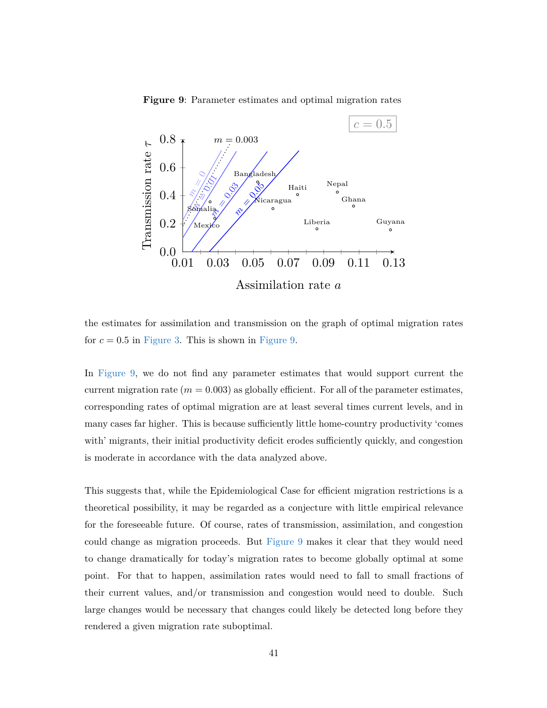<span id="page-43-0"></span>

**Figure 9**: Parameter estimates and optimal migration rates

the estimates for assimilation and transmission on the graph of optimal migration rates for  $c = 0.5$  in [Figure 3.](#page-25-0) This is shown in [Figure 9.](#page-43-0)

In [Figure 9,](#page-43-0) we do not find any parameter estimates that would support current the current migration rate  $(m = 0.003)$  as globally efficient. For all of the parameter estimates, corresponding rates of optimal migration are at least several times current levels, and in many cases far higher. This is because sufficiently little home-country productivity 'comes with' migrants, their initial productivity deficit erodes sufficiently quickly, and congestion is moderate in accordance with the data analyzed above.

This suggests that, while the Epidemiological Case for efficient migration restrictions is a theoretical possibility, it may be regarded as a conjecture with little empirical relevance for the foreseeable future. Of course, rates of transmission, assimilation, and congestion could change as migration proceeds. But [Figure 9](#page-43-0) makes it clear that they would need to change dramatically for today's migration rates to become globally optimal at some point. For that to happen, assimilation rates would need to fall to small fractions of their current values, and/or transmission and congestion would need to double. Such large changes would be necessary that changes could likely be detected long before they rendered a given migration rate suboptimal.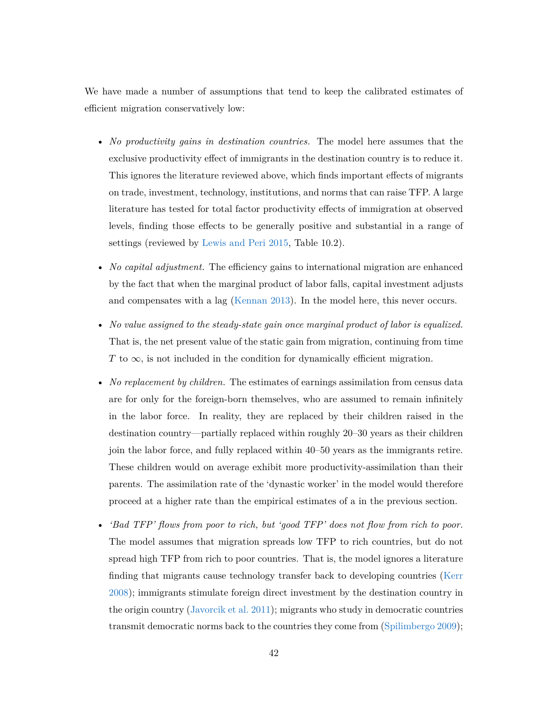We have made a number of assumptions that tend to keep the calibrated estimates of efficient migration conservatively low:

- *No productivity gains in destination countries.* The model here assumes that the exclusive productivity effect of immigrants in the destination country is to reduce it. This ignores the literature reviewed above, which finds important effects of migrants on trade, investment, technology, institutions, and norms that can raise TFP. A large literature has tested for total factor productivity effects of immigration at observed levels, finding those effects to be generally positive and substantial in a range of settings (reviewed by [Lewis and Peri](#page-53-4) [2015,](#page-53-4) Table 10.2).
- *No capital adjustment.* The efficiency gains to international migration are enhanced by the fact that when the marginal product of labor falls, capital investment adjusts and compensates with a lag [\(Kennan](#page-52-3) [2013\)](#page-52-3). In the model here, this never occurs.
- *No value assigned to the steady-state gain once marginal product of labor is equalized.* That is, the net present value of the static gain from migration, continuing from time *T* to  $\infty$ , is not included in the condition for dynamically efficient migration.
- *No replacement by children.* The estimates of earnings assimilation from census data are for only for the foreign-born themselves, who are assumed to remain infinitely in the labor force. In reality, they are replaced by their children raised in the destination country—partially replaced within roughly 20–30 years as their children join the labor force, and fully replaced within 40–50 years as the immigrants retire. These children would on average exhibit more productivity-assimilation than their parents. The assimilation rate of the 'dynastic worker' in the model would therefore proceed at a higher rate than the empirical estimates of a in the previous section.
- *'Bad TFP' flows from poor to rich, but 'good TFP' does not flow from rich to poor.* The model assumes that migration spreads low TFP to rich countries, but do not spread high TFP from rich to poor countries. That is, the model ignores a literature finding that migrants cause technology transfer back to developing countries [\(Kerr](#page-52-17) [2008\)](#page-52-17); immigrants stimulate foreign direct investment by the destination country in the origin country [\(Javorcik et al.](#page-52-18) [2011\)](#page-52-18); migrants who study in democratic countries transmit democratic norms back to the countries they come from [\(Spilimbergo](#page-54-15) [2009\)](#page-54-15);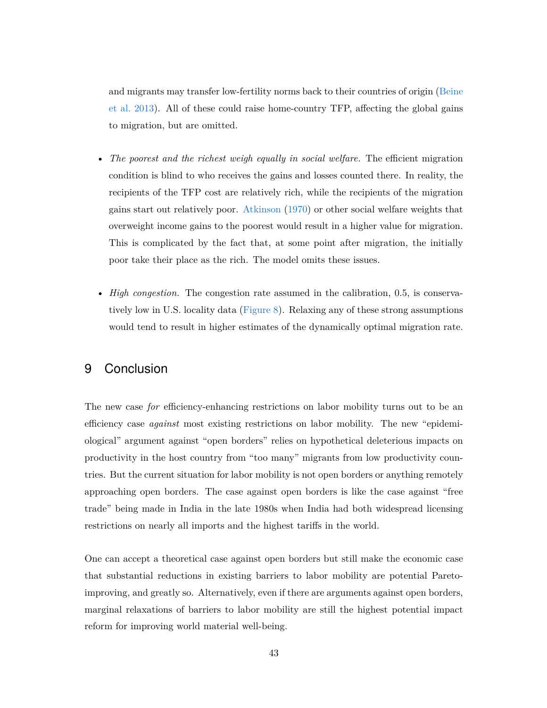and migrants may transfer low-fertility norms back to their countries of origin [\(Beine](#page-49-15) [et al.](#page-49-15) [2013\)](#page-49-15). All of these could raise home-country TFP, affecting the global gains to migration, but are omitted.

- *The poorest and the richest weigh equally in social welfare.* The efficient migration condition is blind to who receives the gains and losses counted there. In reality, the recipients of the TFP cost are relatively rich, while the recipients of the migration gains start out relatively poor. [Atkinson](#page-48-8) [\(1970\)](#page-48-8) or other social welfare weights that overweight income gains to the poorest would result in a higher value for migration. This is complicated by the fact that, at some point after migration, the initially poor take their place as the rich. The model omits these issues.
- *High congestion*. The congestion rate assumed in the calibration, 0.5, is conservatively low in U.S. locality data [\(Figure 8\)](#page-41-0). Relaxing any of these strong assumptions would tend to result in higher estimates of the dynamically optimal migration rate.

## 9 Conclusion

The new case *for* efficiency-enhancing restrictions on labor mobility turns out to be an efficiency case *against* most existing restrictions on labor mobility. The new "epidemiological" argument against "open borders" relies on hypothetical deleterious impacts on productivity in the host country from "too many" migrants from low productivity countries. But the current situation for labor mobility is not open borders or anything remotely approaching open borders. The case against open borders is like the case against "free trade" being made in India in the late 1980s when India had both widespread licensing restrictions on nearly all imports and the highest tariffs in the world.

One can accept a theoretical case against open borders but still make the economic case that substantial reductions in existing barriers to labor mobility are potential Paretoimproving, and greatly so. Alternatively, even if there are arguments against open borders, marginal relaxations of barriers to labor mobility are still the highest potential impact reform for improving world material well-being.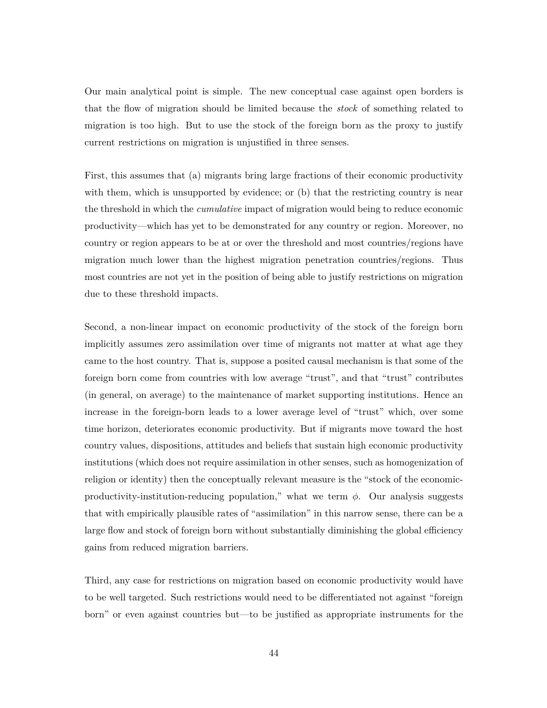Our main analytical point is simple. The new conceptual case against open borders is that the flow of migration should be limited because the *stock* of something related to migration is too high. But to use the stock of the foreign born as the proxy to justify current restrictions on migration is unjustified in three senses.

First, this assumes that (a) migrants bring large fractions of their economic productivity with them, which is unsupported by evidence; or (b) that the restricting country is near the threshold in which the *cumulative* impact of migration would being to reduce economic productivity—which has yet to be demonstrated for any country or region. Moreover, no country or region appears to be at or over the threshold and most countries/regions have migration much lower than the highest migration penetration countries/regions. Thus most countries are not yet in the position of being able to justify restrictions on migration due to these threshold impacts.

Second, a non-linear impact on economic productivity of the stock of the foreign born implicitly assumes zero assimilation over time of migrants not matter at what age they came to the host country. That is, suppose a posited causal mechanism is that some of the foreign born come from countries with low average "trust", and that "trust" contributes (in general, on average) to the maintenance of market supporting institutions. Hence an increase in the foreign-born leads to a lower average level of "trust" which, over some time horizon, deteriorates economic productivity. But if migrants move toward the host country values, dispositions, attitudes and beliefs that sustain high economic productivity institutions (which does not require assimilation in other senses, such as homogenization of religion or identity) then the conceptually relevant measure is the "stock of the economicproductivity-institution-reducing population," what we term  $\phi$ . Our analysis suggests that with empirically plausible rates of "assimilation" in this narrow sense, there can be a large flow and stock of foreign born without substantially diminishing the global efficiency gains from reduced migration barriers.

Third, any case for restrictions on migration based on economic productivity would have to be well targeted. Such restrictions would need to be differentiated not against "foreign born" or even against countries but—to be justified as appropriate instruments for the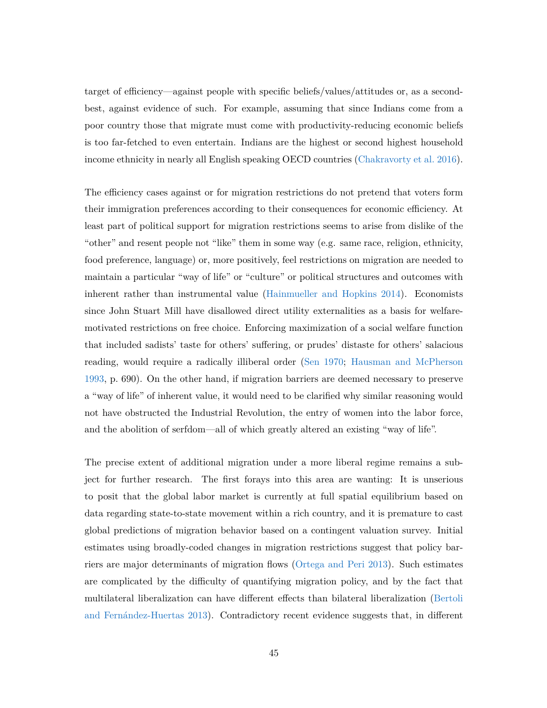target of efficiency—against people with specific beliefs/values/attitudes or, as a secondbest, against evidence of such. For example, assuming that since Indians come from a poor country those that migrate must come with productivity-reducing economic beliefs is too far-fetched to even entertain. Indians are the highest or second highest household income ethnicity in nearly all English speaking OECD countries [\(Chakravorty et al.](#page-50-10) [2016\)](#page-50-10).

The efficiency cases against or for migration restrictions do not pretend that voters form their immigration preferences according to their consequences for economic efficiency. At least part of political support for migration restrictions seems to arise from dislike of the "other" and resent people not "like" them in some way (e.g. same race, religion, ethnicity, food preference, language) or, more positively, feel restrictions on migration are needed to maintain a particular "way of life" or "culture" or political structures and outcomes with inherent rather than instrumental value [\(Hainmueller and Hopkins](#page-51-16) [2014\)](#page-51-16). Economists since John Stuart Mill have disallowed direct utility externalities as a basis for welfaremotivated restrictions on free choice. Enforcing maximization of a social welfare function that included sadists' taste for others' suffering, or prudes' distaste for others' salacious reading, would require a radically illiberal order [\(Sen](#page-54-16) [1970;](#page-54-16) [Hausman and McPherson](#page-52-19) [1993,](#page-52-19) p. 690). On the other hand, if migration barriers are deemed necessary to preserve a "way of life" of inherent value, it would need to be clarified why similar reasoning would not have obstructed the Industrial Revolution, the entry of women into the labor force, and the abolition of serfdom—all of which greatly altered an existing "way of life".

The precise extent of additional migration under a more liberal regime remains a subject for further research. The first forays into this area are wanting: It is unserious to posit that the global labor market is currently at full spatial equilibrium based on data regarding state-to-state movement within a rich country, and it is premature to cast global predictions of migration behavior based on a contingent valuation survey. Initial estimates using broadly-coded changes in migration restrictions suggest that policy barriers are major determinants of migration flows [\(Ortega and Peri](#page-53-15) [2013\)](#page-53-15). Such estimates are complicated by the difficulty of quantifying migration policy, and by the fact that multilateral liberalization can have different effects than bilateral liberalization [\(Bertoli](#page-49-10) [and Fernández-Huertas](#page-49-10) [2013\)](#page-49-10). Contradictory recent evidence suggests that, in different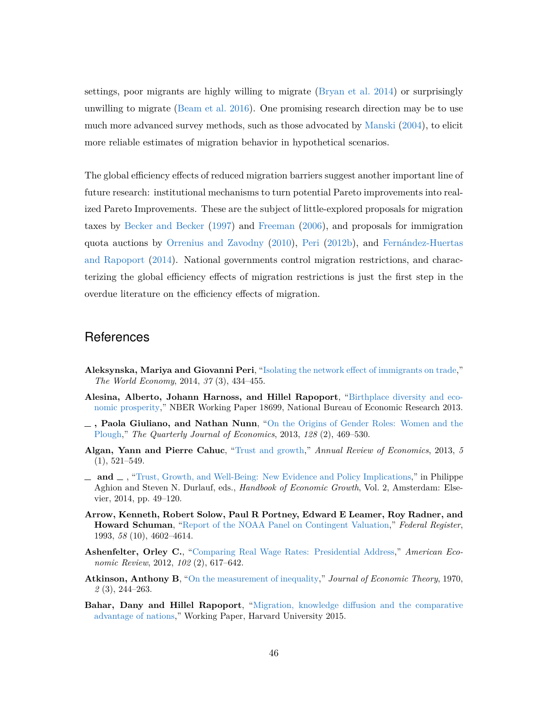settings, poor migrants are highly willing to migrate [\(Bryan et al.](#page-50-18) [2014\)](#page-50-18) or surprisingly unwilling to migrate [\(Beam et al.](#page-49-16) [2016\)](#page-49-16). One promising research direction may be to use much more advanced survey methods, such as those advocated by [Manski](#page-53-16) [\(2004\)](#page-53-16), to elicit more reliable estimates of migration behavior in hypothetical scenarios.

The global efficiency effects of reduced migration barriers suggest another important line of future research: institutional mechanisms to turn potential Pareto improvements into realized Pareto Improvements. These are the subject of little-explored proposals for migration taxes by [Becker and Becker](#page-49-17) [\(1997\)](#page-49-17) and [Freeman](#page-51-17) [\(2006\)](#page-51-17), and proposals for immigration quota auctions by [Orrenius and Zavodny](#page-53-17) [\(2010\)](#page-53-17), [Peri](#page-54-17) [\(2012b\)](#page-54-17), and [Fernández-Huertas](#page-51-18) [and Rapoport](#page-51-18) [\(2014\)](#page-51-18). National governments control migration restrictions, and characterizing the global efficiency effects of migration restrictions is just the first step in the overdue literature on the efficiency effects of migration.

## **References**

- <span id="page-48-6"></span>**Aleksynska, Mariya and Giovanni Peri**, ["Isolating the network effect of immigrants on trade,](http://dx.doi.org/10.1111/twec.12079)" *The World Economy*, 2014, *37* (3), 434–455.
- <span id="page-48-4"></span>**Alesina, Alberto, Johann Harnoss, and Hillel Rapoport**, ["Birthplace diversity and eco](http://dx.doi.org/10.3386/w18699)[nomic prosperity,](http://dx.doi.org/10.3386/w18699)" NBER Working Paper 18699, National Bureau of Economic Research 2013.
- <span id="page-48-2"></span>**, Paola Giuliano, and Nathan Nunn**, ["On the Origins of Gender Roles: Women and the](http://dx.doi.org/10.1093/qje/qjt005) [Plough,](http://dx.doi.org/10.1093/qje/qjt005)" *The Quarterly Journal of Economics*, 2013, *128* (2), 469–530.
- <span id="page-48-3"></span>**Algan, Yann and Pierre Cahuc**, ["Trust and growth,](http://dx.doi.org/10.1146/annurev-economics-081412-102108)" *Annual Review of Economics*, 2013, *5* (1), 521–549.
- <span id="page-48-1"></span>**and** , ["Trust, Growth, and Well-Being: New Evidence and Policy Implications,](http://dx.doi.org/10.1016/B978-0-444-53538-2.00002-2)" in Philippe Aghion and Steven N. Durlauf, eds., *Handbook of Economic Growth*, Vol. 2, Amsterdam: Elsevier, 2014, pp. 49–120.
- <span id="page-48-5"></span>**Arrow, Kenneth, Robert Solow, Paul R Portney, Edward E Leamer, Roy Radner, and Howard Schuman**, ["Report of the NOAA Panel on Contingent Valuation,](http://loc.heinonline.org/loc/Page?handle=hein.fedreg/058010&collection=journals&index=fedreg/05842&id=42)" *Federal Register*, 1993, *58* (10), 4602–4614.
- <span id="page-48-0"></span>**Ashenfelter, Orley C.**, ["Comparing Real Wage Rates: Presidential Address,](http://dx.doi.org/10.1257/aer.102.2.617)" *American Economic Review*, 2012, *102* (2), 617–642.
- <span id="page-48-8"></span>**Atkinson, Anthony B**, ["On the measurement of inequality,](http://dx.doi.org/10.1016/0022-0531(70)90039-6)" *Journal of Economic Theory*, 1970, *2* (3), 244–263.
- <span id="page-48-7"></span>**Bahar, Dany and Hillel Rapoport**, ["Migration, knowledge diffusion and the comparative](http://scholar.harvard.edu/files/dbaharc/files/br_migration.pdf) [advantage of nations,](http://scholar.harvard.edu/files/dbaharc/files/br_migration.pdf)" Working Paper, Harvard University 2015.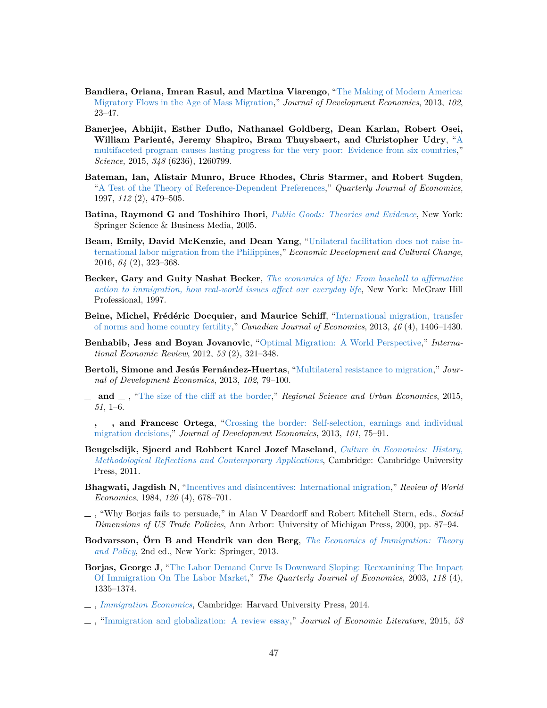- <span id="page-49-11"></span>**Bandiera, Oriana, Imran Rasul, and Martina Viarengo**, ["The Making of Modern America:](http://dx.doi.org/10.1016/j.jdeveco.2012.11.005) [Migratory Flows in the Age of Mass Migration,](http://dx.doi.org/10.1016/j.jdeveco.2012.11.005)" *Journal of Development Economics*, 2013, *102*, 23–47.
- <span id="page-49-5"></span>**Banerjee, Abhijit, Esther Duflo, Nathanael Goldberg, Dean Karlan, Robert Osei, William Parienté, Jeremy Shapiro, Bram Thuysbaert, and Christopher Udry**, ["A](http://dx.doi.org/10.1126/science.1260799) [multifaceted program causes lasting progress for the very poor: Evidence from six countries,](http://dx.doi.org/10.1126/science.1260799)" *Science*, 2015, *348* (6236), 1260799.
- <span id="page-49-12"></span>**Bateman, Ian, Alistair Munro, Bruce Rhodes, Chris Starmer, and Robert Sugden**, ["A Test of the Theory of Reference-Dependent Preferences,](http://dx.doi.org/10.1162/003355397555262)" *Quarterly Journal of Economics*, 1997, *112* (2), 479–505.
- <span id="page-49-14"></span>**Batina, Raymond G and Toshihiro Ihori**, *[Public Goods: Theories and Evidence](http://www.worldcat.org/oclc/209865591)*, New York: Springer Science & Business Media, 2005.
- <span id="page-49-16"></span>**Beam, Emily, David McKenzie, and Dean Yang**, ["Unilateral facilitation does not raise in](http://dx.doi.org/10.1086/683999)[ternational labor migration from the Philippines,](http://dx.doi.org/10.1086/683999)" *Economic Development and Cultural Change*, 2016, *64* (2), 323–368.
- <span id="page-49-17"></span>**Becker, Gary and Guity Nashat Becker**, *[The economics of life: From baseball to affirmative](http://www.worldcat.org/oclc/34772384) [action to immigration, how real-world issues affect our everyday life](http://www.worldcat.org/oclc/34772384)*, New York: McGraw Hill Professional, 1997.
- <span id="page-49-15"></span>**Beine, Michel, Frédéric Docquier, and Maurice Schiff**, ["International migration, transfer](http://dx.doi.org/10.1111/caje.12062) [of norms and home country fertility,](http://dx.doi.org/10.1111/caje.12062)" *Canadian Journal of Economics*, 2013, *46* (4), 1406–1430.
- <span id="page-49-2"></span>**Benhabib, Jess and Boyan Jovanovic**, ["Optimal Migration: A World Perspective,](http://dx.doi.org/10.1111/j.1468-2354.2012.00683.x)" *International Economic Review*, 2012, *53* (2), 321–348.
- <span id="page-49-10"></span>**Bertoli, Simone and Jesús Fernández-Huertas**, ["Multilateral resistance to migration,](http://dx.doi.org/10.1016/j.jdeveco.2012.12.001)" *Journal of Development Economics*, 2013, *102*, 79–100.
- <span id="page-49-9"></span>**and** , ["The size of the cliff at the border,](http://dx.doi.org/10.1016/j.regsciurbeco.2014.12.002)" *Regional Science and Urban Economics*, 2015, *51*, 1–6.
- <span id="page-49-8"></span>**, , and Francesc Ortega**, ["Crossing the border: Self-selection, earnings and individual](http://dx.doi.org/10.1016/j.jdeveco.2012.09.004) [migration decisions,](http://dx.doi.org/10.1016/j.jdeveco.2012.09.004)" *Journal of Development Economics*, 2013, *101*, 75–91.
- <span id="page-49-7"></span>**Beugelsdijk, Sjoerd and Robbert Karel Jozef Maseland**, *[Culture in Economics: History,](http://www.worldcat.org/oclc/656771589) [Methodological Reflections and Contemporary Applications](http://www.worldcat.org/oclc/656771589)*, Cambridge: Cambridge University Press, 2011.
- <span id="page-49-13"></span>**Bhagwati, Jagdish N**, ["Incentives and disincentives: International migration,](http://dx.doi.org/10.1007/BF02706510)" *Review of World Economics*, 1984, *120* (4), 678–701.
- <span id="page-49-1"></span>, "Why Borjas fails to persuade," in Alan V Deardorff and Robert Mitchell Stern, eds., *Social Dimensions of US Trade Policies*, Ann Arbor: University of Michigan Press, 2000, pp. 87–94.
- <span id="page-49-4"></span>**Bodvarsson, Örn B and Hendrik van den Berg**, *[The Economics of Immigration: Theory](http://www.worldcat.org/oclc/852632755) [and Policy](http://www.worldcat.org/oclc/852632755)*, 2nd ed., New York: Springer, 2013.
- <span id="page-49-0"></span>**Borjas, George J**, ["The Labor Demand Curve Is Downward Sloping: Reexamining The Impact](http://dx.doi.org/10.1162/003355303322552810) [Of Immigration On The Labor Market,](http://dx.doi.org/10.1162/003355303322552810)" *The Quarterly Journal of Economics*, 2003, *118* (4), 1335–1374.
- <span id="page-49-3"></span>, *[Immigration Economics](http://www.worldcat.org/oclc/880877904)*, Cambridge: Harvard University Press, 2014.
- <span id="page-49-6"></span>, ["Immigration and globalization: A review essay,](http://dx.doi.org/10.1257/jel.53.4.961)" *Journal of Economic Literature*, 2015, *53*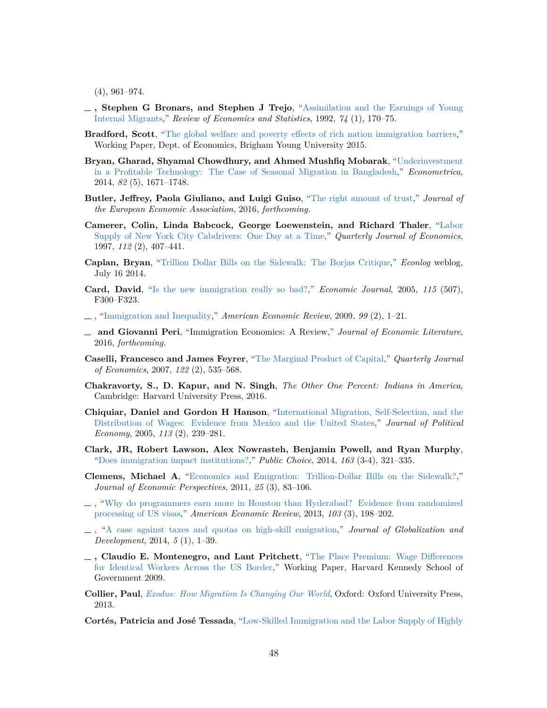(4), 961–974.

- <span id="page-50-17"></span>**, Stephen G Bronars, and Stephen J Trejo**, ["Assimilation and the Earnings of Young](http://dx.doi.org/10.2307/2109556) [Internal Migrants,](http://dx.doi.org/10.2307/2109556)" *Review of Economics and Statistics*, 1992, *74* (1), 170–75.
- <span id="page-50-3"></span>**Bradford, Scott**, ["The global welfare and poverty effects of rich nation immigration barriers,](http://www.freit.org/WorkingPapers/Papers/Immigration/FREIT432.pdf)" Working Paper, Dept. of Economics, Brigham Young University 2015.
- <span id="page-50-18"></span>**Bryan, Gharad, Shyamal Chowdhury, and Ahmed Mushfiq Mobarak**, ["Underinvestment](http://dx.doi.org/10.3982/ECTA10489) [in a Profitable Technology: The Case of Seasonal Migration in Bangladesh,](http://dx.doi.org/10.3982/ECTA10489)" *Econometrica*, 2014, *82* (5), 1671–1748.
- <span id="page-50-16"></span>**Butler, Jeffrey, Paola Giuliano, and Luigi Guiso**, ["The right amount of trust,](http://dx.doi.org/10.3386/w15344)" *Journal of the European Economic Association*, 2016, *forthcoming.*
- <span id="page-50-13"></span>**Camerer, Colin, Linda Babcock, George Loewenstein, and Richard Thaler**, ["Labor](http://dx.doi.org/10.1162/003355397555244) [Supply of New York City Cabdrivers: One Day at a Time,](http://dx.doi.org/10.1162/003355397555244)" *Quarterly Journal of Economics*, 1997, *112* (2), 407–441.
- <span id="page-50-12"></span>**Caplan, Bryan**, ["Trillion Dollar Bills on the Sidewalk: The Borjas Critique,](http://econlog.econlib.org/archives/2014/07/open_borders_an_3.html)" *Econlog* weblog, July 16 2014.
- <span id="page-50-1"></span>**Card, David**, ["Is the new immigration really so bad?,](http://dx.doi.org/10.1111/j.1468-0297.2005.01037.x)" *Economic Journal*, 2005, *115* (507), F300–F323.
- <span id="page-50-8"></span>, ["Immigration and Inequality,](http://dx.doi.org/10.1257/aer.99.2.1)" *American Economic Review*, 2009, *99* (2), 1–21.
- <span id="page-50-7"></span>**and Giovanni Peri**, "Immigration Economics: A Review," *Journal of Economic Literature*, 2016, *forthcoming.*
- <span id="page-50-4"></span>**Caselli, Francesco and James Feyrer**, ["The Marginal Product of Capital,](http://dx.doi.org/10.1162/qjec.122.2.535)" *Quarterly Journal of Economics*, 2007, *122* (2), 535–568.
- <span id="page-50-10"></span>**Chakravorty, S., D. Kapur, and N. Singh**, *The Other One Percent: Indians in America*, Cambridge: Harvard University Press, 2016.
- <span id="page-50-2"></span>**Chiquiar, Daniel and Gordon H Hanson**, ["International Migration, Self-Selection, and the](http://dx.doi.org/10.1086/427464) [Distribution of Wages: Evidence from Mexico and the United States,](http://dx.doi.org/10.1086/427464)" *Journal of Political Economy*, 2005, *113* (2), 239–281.
- <span id="page-50-11"></span>**Clark, JR, Robert Lawson, Alex Nowrasteh, Benjamin Powell, and Ryan Murphy**, ["Does immigration impact institutions?,](http://dx.doi.org/10.1007/s11127-015-0254-y)" *Public Choice*, 2014, *163* (3-4), 321–335.
- <span id="page-50-0"></span>**Clemens, Michael A**, ["Economics and Emigration: Trillion-Dollar Bills on the Sidewalk?,](http://www.aeaweb.org/articles.php?doi=10.1257/jep.25.3.83)" *Journal of Economic Perspectives*, 2011, *25* (3), 83–106.
- <span id="page-50-6"></span>, ["Why do programmers earn more in Houston than Hyderabad? Evidence from randomized](http://dx.doi.org/10.1257/aer.103.3.198) [processing of US visas,](http://dx.doi.org/10.1257/aer.103.3.198)" *American Economic Review*, 2013, *103* (3), 198–202.
- <span id="page-50-15"></span>, ["A case against taxes and quotas on high-skill emigration,](http://dx.doi.org/10.1515/jgd-2014-0015)" *Journal of Globalization and Development*, 2014, *5* (1), 1–39.
- <span id="page-50-5"></span>**, Claudio E. Montenegro, and Lant Pritchett**, ["The Place Premium: Wage Differences](http://EconPapers.repec.org/RePEc:ecl:harjfk:rwp09-004) [for Identical Workers Across the US Border,](http://EconPapers.repec.org/RePEc:ecl:harjfk:rwp09-004)" Working Paper, Harvard Kennedy School of Government 2009.
- <span id="page-50-9"></span>**Collier, Paul**, *[Exodus: How Migration Is Changing Our World](http://www.worldcat.org/oclc/833145538)*, Oxford: Oxford University Press, 2013.
- <span id="page-50-14"></span>**Cortés, Patricia and José Tessada**, ["Low-Skilled Immigration and the Labor Supply of Highly](http://dx.doi.org/10.1257/app.3.3.88)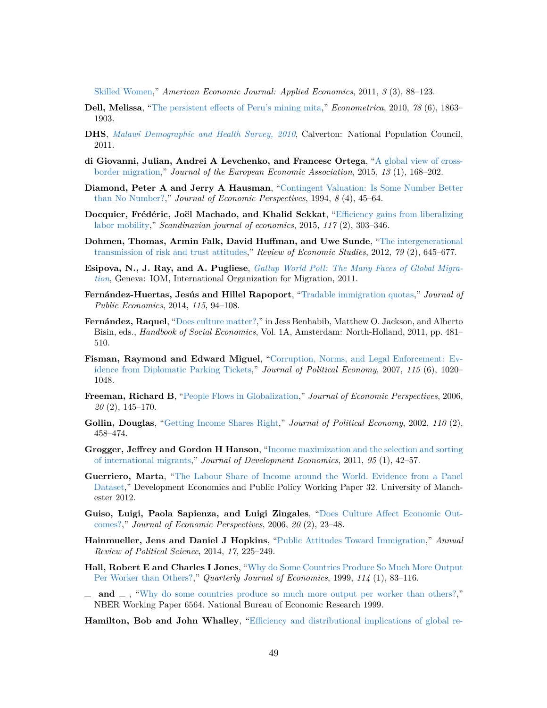[Skilled Women,](http://dx.doi.org/10.1257/app.3.3.88)" *American Economic Journal: Applied Economics*, 2011, *3* (3), 88–123.

- <span id="page-51-12"></span>**Dell, Melissa**, ["The persistent effects of Peru's mining mita,](http://dx.doi.org/10.3982/ECTA8121)" *Econometrica*, 2010, *78* (6), 1863– 1903.
- <span id="page-51-4"></span>**DHS**, *[Malawi Demographic and Health Survey, 2010](https://dhsprogram.com/pubs/pdf/FR247/FR247.pdf)*, Calverton: National Population Council, 2011.
- <span id="page-51-1"></span>**di Giovanni, Julian, Andrei A Levchenko, and Francesc Ortega**, ["A global view of cross](http://dx.doi.org/10.1111/jeea.12110)[border migration,](http://dx.doi.org/10.1111/jeea.12110)" *Journal of the European Economic Association*, 2015, *13* (1), 168–202.
- <span id="page-51-8"></span>**Diamond, Peter A and Jerry A Hausman**, ["Contingent Valuation: Is Some Number Better](http://dx.doi.org/10.1257/jep.8.4.45) [than No Number?,](http://dx.doi.org/10.1257/jep.8.4.45)" *Journal of Economic Perspectives*, 1994, *8* (4), 45–64.
- <span id="page-51-5"></span>**Docquier, Frédéric, Joël Machado, and Khalid Sekkat**, ["Efficiency gains from liberalizing](http://dx.doi.org/10.1111/sjoe.12097) [labor mobility,](http://dx.doi.org/10.1111/sjoe.12097)" *Scandinavian journal of economics*, 2015, *117* (2), 303–346.
- <span id="page-51-14"></span>**Dohmen, Thomas, Armin Falk, David Huffman, and Uwe Sunde**, ["The intergenerational](http://dx.doi.org/10.1093/restud/rdr027) [transmission of risk and trust attitudes,](http://dx.doi.org/10.1093/restud/rdr027)" *Review of Economic Studies*, 2012, *79* (2), 645–677.
- <span id="page-51-7"></span>**Esipova, N., J. Ray, and A. Pugliese**, *[Gallup World Poll: The Many Faces of Global Migra](http://publications.iom.int/system/files/pdf/mrs43.pdf)[tion](http://publications.iom.int/system/files/pdf/mrs43.pdf)*, Geneva: IOM, International Organization for Migration, 2011.
- <span id="page-51-18"></span>**Fernández-Huertas, Jesús and Hillel Rapoport**, ["Tradable immigration quotas,](http://dx.doi.org/10.1016/j.jpubeco.2014.04.002)" *Journal of Public Economics*, 2014, *115*, 94–108.
- <span id="page-51-2"></span>**Fernández, Raquel**, ["Does culture matter?,](http://dx.doi.org/10.1016/B978-0-444-53187-2.00011-5)" in Jess Benhabib, Matthew O. Jackson, and Alberto Bisin, eds., *Handbook of Social Economics*, Vol. 1A, Amsterdam: North-Holland, 2011, pp. 481– 510.
- <span id="page-51-3"></span>**Fisman, Raymond and Edward Miguel**, ["Corruption, Norms, and Legal Enforcement: Ev](http://dx.doi.org/10.1086/527495)[idence from Diplomatic Parking Tickets,](http://dx.doi.org/10.1086/527495)" *Journal of Political Economy*, 2007, *115* (6), 1020– 1048.
- <span id="page-51-17"></span>**Freeman, Richard B**, ["People Flows in Globalization,](http://dx.doi.org/10.1257/jep.20.2.145)" *Journal of Economic Perspectives*, 2006, *20* (2), 145–170.
- <span id="page-51-10"></span>**Gollin, Douglas**, ["Getting Income Shares Right,](http://dx.doi.org/10.1086/338747)" *Journal of Political Economy*, 2002, *110* (2), 458–474.
- <span id="page-51-6"></span>**Grogger, Jeffrey and Gordon H Hanson**, ["Income maximization and the selection and sorting](http://dx.doi.org/10.1016/j.jdeveco.2010.06.003) [of international migrants,](http://dx.doi.org/10.1016/j.jdeveco.2010.06.003)" *Journal of Development Economics*, 2011, *95* (1), 42–57.
- <span id="page-51-11"></span>**Guerriero, Marta**, ["The Labour Share of Income around the World. Evidence from a Panel](http://piketty.pse.ens.fr/files/Guerriero2012.pdf) [Dataset,](http://piketty.pse.ens.fr/files/Guerriero2012.pdf)" Development Economics and Public Policy Working Paper 32. University of Manchester 2012.
- <span id="page-51-13"></span>**Guiso, Luigi, Paola Sapienza, and Luigi Zingales**, ["Does Culture Affect Economic Out](http://dx.doi.org/10.1257/jep.20.2.23)[comes?,](http://dx.doi.org/10.1257/jep.20.2.23)" *Journal of Economic Perspectives*, 2006, *20* (2), 23–48.
- <span id="page-51-16"></span>**Hainmueller, Jens and Daniel J Hopkins**, ["Public Attitudes Toward Immigration,](http://dx.doi.org/10.1146/annurev-polisci-102512-194818)" *Annual Review of Political Science*, 2014, *17*, 225–249.
- <span id="page-51-9"></span>**Hall, Robert E and Charles I Jones**, ["Why do Some Countries Produce So Much More Output](http://dx.doi.org/10.1162/003355399555954) [Per Worker than Others?,](http://dx.doi.org/10.1162/003355399555954)" *Quarterly Journal of Economics*, 1999, *114* (1), 83–116.
- <span id="page-51-15"></span>**and** , ["Why do some countries produce so much more output per worker than others?,](http://dx.doi.org/10.3386/w6564)" NBER Working Paper 6564. National Bureau of Economic Research 1999.

<span id="page-51-0"></span>**Hamilton, Bob and John Whalley**, ["Efficiency and distributional implications of global re-](http://dx.doi.org/10.1016/0304-3878(84)90043-9)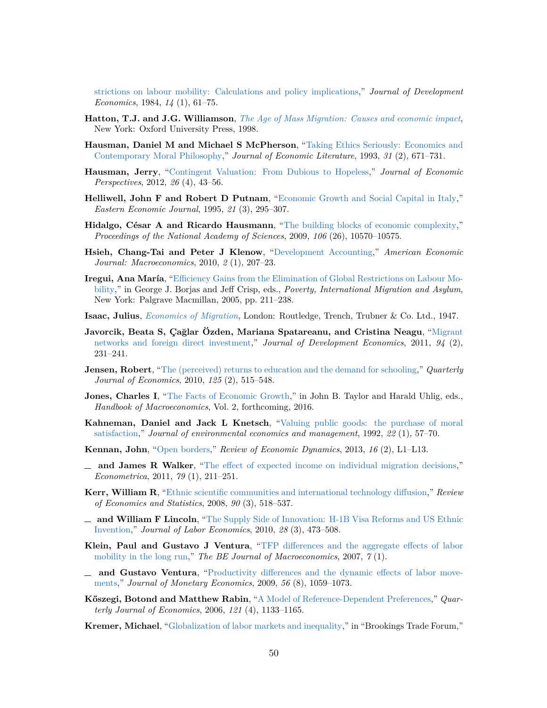[strictions on labour mobility: Calculations and policy implications,](http://dx.doi.org/10.1016/0304-3878(84)90043-9)" *Journal of Development Economics*, 1984, *14* (1), 61–75.

- <span id="page-52-14"></span>**Hatton, T.J. and J.G. Williamson**, *[The Age of Mass Migration: Causes and economic impact](http://www.worldcat.org/oclc/47007967)*, New York: Oxford University Press, 1998.
- <span id="page-52-19"></span>**Hausman, Daniel M and Michael S McPherson**, ["Taking Ethics Seriously: Economics and](http://www.jstor.org/stable/2728513) [Contemporary Moral Philosophy,](http://www.jstor.org/stable/2728513)" *Journal of Economic Literature*, 1993, *31* (2), 671–731.
- <span id="page-52-7"></span>**Hausman, Jerry**, ["Contingent Valuation: From Dubious to Hopeless,](http://dx.doi.org/10.1257/jep.26.4.43)" *Journal of Economic Perspectives*, 2012, *26* (4), 43–56.
- <span id="page-52-16"></span>**Helliwell, John F and Robert D Putnam**, ["Economic Growth and Social Capital in Italy,](http://www.jstor.org/stable/40325643)" *Eastern Economic Journal*, 1995, *21* (3), 295–307.
- <span id="page-52-11"></span>**Hidalgo, César A and Ricardo Hausmann**, ["The building blocks of economic complexity,](http://dx.doi.org/10.1073/pnas.0900943106)" *Proceedings of the National Academy of Sciences*, 2009, *106* (26), 10570–10575.
- <span id="page-52-12"></span>**Hsieh, Chang-Tai and Peter J Klenow**, ["Development Accounting,](http://dx.doi.org/10.1257/mac.2.1.207)" *American Economic Journal: Macroeconomics*, 2010, *2* (1), 207–23.
- <span id="page-52-0"></span>**Iregui, Ana María**, ["Efficiency Gains from the Elimination of Global Restrictions on Labour Mo](http://dx.doi.org/10.1057/9780230522534)[bility,](http://dx.doi.org/10.1057/9780230522534)" in George J. Borjas and Jeff Crisp, eds., *Poverty, International Migration and Asylum*, New York: Palgrave Macmillan, 2005, pp. 211–238.
- <span id="page-52-5"></span>**Isaac, Julius**, *[Economics of Migration](http://www.worldcat.org/oclc/613191)*, London: Routledge, Trench, Trubner & Co. Ltd., 1947.
- <span id="page-52-18"></span>**Javorcik, Beata S, Çağlar Özden, Mariana Spatareanu, and Cristina Neagu**, ["Migrant](http://dx.doi.org/10.1016/j.jdeveco.2010.01.012) [networks and foreign direct investment,](http://dx.doi.org/10.1016/j.jdeveco.2010.01.012)" *Journal of Development Economics*, 2011, *94* (2), 231–241.
- <span id="page-52-10"></span>**Jensen, Robert**, ["The \(perceived\) returns to education and the demand for schooling,](http://dx.doi.org/10.1162/qjec.2010.125.2.515)" *Quarterly Journal of Economics*, 2010, *125* (2), 515–548.
- <span id="page-52-4"></span>**Jones, Charles I**, ["The Facts of Economic Growth,](http://dx.doi.org/10.3386/w21142)" in John B. Taylor and Harald Uhlig, eds., *Handbook of Macroeconomics*, Vol. 2, forthcoming, 2016.
- <span id="page-52-8"></span>**Kahneman, Daniel and Jack L Knetsch**, ["Valuing public goods: the purchase of moral](http://dx.doi.org/10.1016/0095-0696(92)90019-S) [satisfaction,](http://dx.doi.org/10.1016/0095-0696(92)90019-S)" *Journal of environmental economics and management*, 1992, *22* (1), 57–70.
- <span id="page-52-3"></span>**Kennan, John**, ["Open borders,](http://dx.doi.org/10.1016/j.red.2012.08.003)" *Review of Economic Dynamics*, 2013, *16* (2), L1–L13.
- <span id="page-52-6"></span>**and James R Walker**, ["The effect of expected income on individual migration decisions,](http://dx.doi.org/10.3982/ECTA4657)" *Econometrica*, 2011, *79* (1), 211–251.
- <span id="page-52-17"></span>**Kerr, William R**, ["Ethnic scientific communities and international technology diffusion,](http://dx.doi.org/10.1162/rest.90.3.518)" *Review of Economics and Statistics*, 2008, *90* (3), 518–537.
- <span id="page-52-15"></span>**and William F Lincoln**, ["The Supply Side of Innovation: H-1B Visa Reforms and US Ethnic](http://dx.doi.org/10.1086/651934) [Invention,](http://dx.doi.org/10.1086/651934)" *Journal of Labor Economics*, 2010, *28* (3), 473–508.
- <span id="page-52-1"></span>**Klein, Paul and Gustavo J Ventura**, ["TFP differences and the aggregate effects of labor](http://dx.doi.org/10.2202/1935-1690.1370) [mobility in the long run,](http://dx.doi.org/10.2202/1935-1690.1370)" *The BE Journal of Macroeconomics*, 2007, *7* (1).
- <span id="page-52-2"></span>**and Gustavo Ventura**, ["Productivity differences and the dynamic effects of labor move](http://dx.doi.org/10.1016/j.jmoneco.2009.10.011)[ments,](http://dx.doi.org/10.1016/j.jmoneco.2009.10.011)" *Journal of Monetary Economics*, 2009, *56* (8), 1059–1073.
- <span id="page-52-9"></span>**Kőszegi, Botond and Matthew Rabin**, ["A Model of Reference-Dependent Preferences,](http://dx.doi.org/10.1093/qje/121.4.1133)" *Quarterly Journal of Economics*, 2006, *121* (4), 1133–1165.
- <span id="page-52-13"></span>**Kremer, Michael**, ["Globalization of labor markets and inequality,](http://dx.doi.org/10.1353/btf.2007.0007)" in "Brookings Trade Forum,"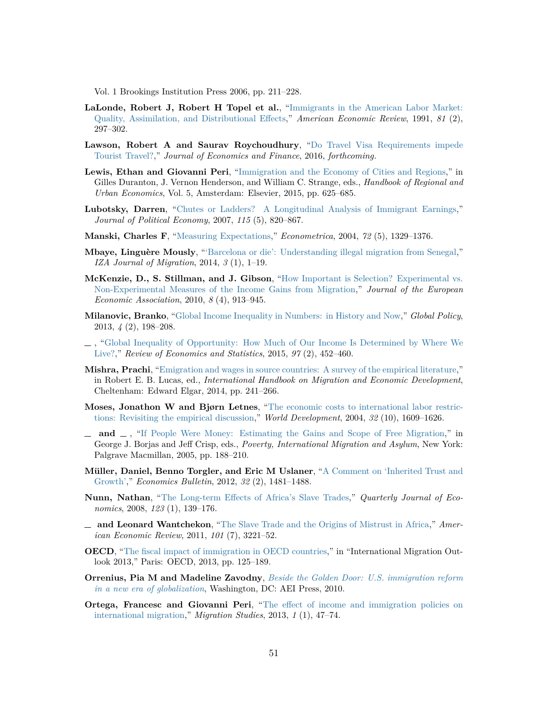Vol. 1 Brookings Institution Press 2006, pp. 211–228.

- <span id="page-53-14"></span>**LaLonde, Robert J, Robert H Topel et al.**, ["Immigrants in the American Labor Market:](http://www.jstor.org/stable/2006873) [Quality, Assimilation, and Distributional Effects,](http://www.jstor.org/stable/2006873)" *American Economic Review*, 1991, *81* (2), 297–302.
- <span id="page-53-10"></span>**Lawson, Robert A and Saurav Roychoudhury**, ["Do Travel Visa Requirements impede](http://dx.doi.org/10.1007/s12197-015-9343-5) [Tourist Travel?,](http://dx.doi.org/10.1007/s12197-015-9343-5)" *Journal of Economics and Finance*, 2016, *forthcoming.*
- <span id="page-53-4"></span>**Lewis, Ethan and Giovanni Peri**, ["Immigration and the Economy of Cities and Regions,](http://dx.doi.org/10.1016/B978-0-444-59517-1.00010-6)" in Gilles Duranton, J. Vernon Henderson, and William C. Strange, eds., *Handbook of Regional and Urban Economics*, Vol. 5, Amsterdam: Elsevier, 2015, pp. 625–685.
- <span id="page-53-13"></span>**Lubotsky, Darren**, ["Chutes or Ladders? A Longitudinal Analysis of Immigrant Earnings,](http://dx.doi.org/10.1086/522871)" *Journal of Political Economy*, 2007, *115* (5), 820–867.
- <span id="page-53-16"></span>**Manski, Charles F**, ["Measuring Expectations,](http://dx.doi.org/10.1111/j.1468-0262.2004.00537.x)" *Econometrica*, 2004, *72* (5), 1329–1376.
- <span id="page-53-11"></span>**Mbaye, Linguère Mously**, ["'Barcelona or die': Understanding illegal migration from Senegal,](http://dx.doi.org/10.1186/s40176-014-0021-8)" *IZA Journal of Migration*, 2014, *3* (1), 1–19.
- <span id="page-53-3"></span>**McKenzie, D., S. Stillman, and J. Gibson**, ["How Important is Selection? Experimental vs.](http://dx.doi.org/10.1111/j.1542-4774.2010.tb00544.x) [Non-Experimental Measures of the Income Gains from Migration,](http://dx.doi.org/10.1111/j.1542-4774.2010.tb00544.x)" *Journal of the European Economic Association*, 2010, *8* (4), 913–945.
- <span id="page-53-12"></span>**Milanovic, Branko**, ["Global Income Inequality in Numbers: in History and Now,](http://dx.doi.org/10.1111/1758-5899.12032)" *Global Policy*, 2013, *4* (2), 198–208.
- <span id="page-53-2"></span>, ["Global Inequality of Opportunity: How Much of Our Income Is Determined by Where We](http://dx.doi.org/10.1162/REST_a_00432) [Live?,](http://dx.doi.org/10.1162/REST_a_00432)" *Review of Economics and Statistics*, 2015, *97* (2), 452–460.
- <span id="page-53-5"></span>**Mishra, Prachi**, ["Emigration and wages in source countries: A survey of the empirical literature,](http://dx.doi.org/10.4337/9781782548072.00013)" in Robert E. B. Lucas, ed., *International Handbook on Migration and Economic Development*, Cheltenham: Edward Elgar, 2014, pp. 241–266.
- <span id="page-53-0"></span>**Moses, Jonathon W and Bjørn Letnes**, ["The economic costs to international labor restric](http://dx.doi.org/10.1016/j.worlddev.2004.05.007)[tions: Revisiting the empirical discussion,](http://dx.doi.org/10.1016/j.worlddev.2004.05.007)" *World Development*, 2004, *32* (10), 1609–1626.
- <span id="page-53-1"></span>**and**  $\Box$ , ["If People Were Money: Estimating the Gains and Scope of Free Migration,](http://dx.doi.org/10.1057/9780230522534)" in George J. Borjas and Jeff Crisp, eds., *Poverty, International Migration and Asylum*, New York: Palgrave Macmillan, 2005, pp. 188–210.
- <span id="page-53-7"></span>**Müller, Daniel, Benno Torgler, and Eric M Uslaner**, ["A Comment on 'Inherited Trust and](http://EconPapers.repec.org/RePEc:ebl:ecbull:eb-12-00319) [Growth',](http://EconPapers.repec.org/RePEc:ebl:ecbull:eb-12-00319)" *Economics Bulletin*, 2012, *32* (2), 1481–1488.
- <span id="page-53-9"></span>**Nunn, Nathan**, ["The Long-term Effects of Africa's Slave Trades,](http://dx.doi.org/10.1162/qjec.2008.123.1.139)" *Quarterly Journal of Economics*, 2008, *123* (1), 139–176.
- <span id="page-53-8"></span>**and Leonard Wantchekon**, ["The Slave Trade and the Origins of Mistrust in Africa,](http://dx.doi.org/10.1257/aer.101.7.3221)" *American Economic Review*, 2011, *101* (7), 3221–52.
- <span id="page-53-6"></span>**OECD**, ["The fiscal impact of immigration in OECD countries,](http://dx.doi.org/10.1787/migr_outlook-2013-6-en)" in "International Migration Outlook 2013," Paris: OECD, 2013, pp. 125–189.
- <span id="page-53-17"></span>**Orrenius, Pia M and Madeline Zavodny**, *[Beside the Golden Door: U.S. immigration reform](http://www.worldcat.org/oclc/758334910) [in a new era of globalization](http://www.worldcat.org/oclc/758334910)*, Washington, DC: AEI Press, 2010.
- <span id="page-53-15"></span>**Ortega, Francesc and Giovanni Peri**, ["The effect of income and immigration policies on](http://dx.doi.org/10.1093/migration/mns004) [international migration,](http://dx.doi.org/10.1093/migration/mns004)" *Migration Studies*, 2013, *1* (1), 47–74.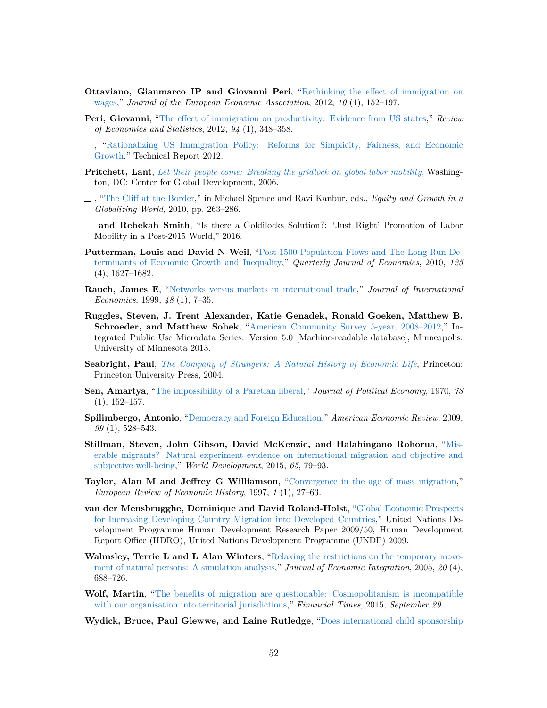- <span id="page-54-0"></span>**Ottaviano, Gianmarco IP and Giovanni Peri**, ["Rethinking the effect of immigration on](http://dx.doi.org/10.1111/j.1542-4774.2011.01052.x) [wages,](http://dx.doi.org/10.1111/j.1542-4774.2011.01052.x)" *Journal of the European Economic Association*, 2012, *10* (1), 152–197.
- <span id="page-54-12"></span>**Peri, Giovanni**, ["The effect of immigration on productivity: Evidence from US states,](http://dx.doi.org/10.1162/REST_a_00137)" *Review of Economics and Statistics*, 2012, *94* (1), 348–358.
- <span id="page-54-17"></span>, ["Rationalizing US Immigration Policy: Reforms for Simplicity, Fairness, and Economic](http://www.brookings.edu/~/media/research/files/papers/2012/5/15%20immigration%20peri/05_immigration_peri_paper.pdf) [Growth,](http://www.brookings.edu/~/media/research/files/papers/2012/5/15%20immigration%20peri/05_immigration_peri_paper.pdf)" Technical Report 2012.
- <span id="page-54-3"></span>**Pritchett, Lant**, *[Let their people come: Breaking the gridlock on global labor mobility](http://www.cgdev.org/publication/9781933286105-let-their-people-come-breaking-gridlock-global-labor-mobility)*, Washington, DC: Center for Global Development, 2006.
- <span id="page-54-7"></span>, ["The Cliff at the Border,](http://dx.doi.org/10.1596/978-0-8213-8180-9)" in Michael Spence and Ravi Kanbur, eds., *Equity and Growth in a Globalizing World*, 2010, pp. 263–286.
- <span id="page-54-4"></span>**and Rebekah Smith**, "Is there a Goldilocks Solution?: 'Just Right' Promotion of Labor Mobility in a Post-2015 World," 2016.
- <span id="page-54-6"></span>**Putterman, Louis and David N Weil**, ["Post-1500 Population Flows and The Long-Run De](http://dx.doi.org/10.1162/qjec.2010.125.4.1627)[terminants of Economic Growth and Inequality,](http://dx.doi.org/10.1162/qjec.2010.125.4.1627)" *Quarterly Journal of Economics*, 2010, *125* (4), 1627–1682.
- <span id="page-54-11"></span>**Rauch, James E**, ["Networks versus markets in international trade,](http://dx.doi.org/10.1016/S0022-1996(98)00009-9)" *Journal of International Economics*, 1999, *48* (1), 7–35.
- <span id="page-54-14"></span>**Ruggles, Steven, J. Trent Alexander, Katie Genadek, Ronald Goeken, Matthew B. Schroeder, and Matthew Sobek**, ["American Community Survey 5-year, 2008–2012,](https://usa.ipums.org)" Integrated Public Use Microdata Series: Version 5.0 [Machine-readable database], Minneapolis: University of Minnesota 2013.
- <span id="page-54-13"></span>**Seabright, Paul**, *[The Company of Strangers: A Natural History of Economic Life](http://www.worldcat.org/oclc/52639182)*, Princeton: Princeton University Press, 2004.
- <span id="page-54-16"></span>**Sen, Amartya**, ["The impossibility of a Paretian liberal,](http://www.jstor.org/stable/1829633)" *Journal of Political Economy*, 1970, *78* (1), 152–157.
- <span id="page-54-15"></span>**Spilimbergo, Antonio**, ["Democracy and Foreign Education,](http://dx.doi.org/10.1257/aer.99.1.528)" *American Economic Review*, 2009, *99* (1), 528–543.
- <span id="page-54-9"></span>**Stillman, Steven, John Gibson, David McKenzie, and Halahingano Rohorua**, ["Mis](http://dx.doi.org/10.1016/j.worlddev.2013.07.003)[erable migrants? Natural experiment evidence on international migration and objective and](http://dx.doi.org/10.1016/j.worlddev.2013.07.003) [subjective well-being,](http://dx.doi.org/10.1016/j.worlddev.2013.07.003)" *World Development*, 2015, *65*, 79–93.
- <span id="page-54-10"></span>**Taylor, Alan M and Jeffrey G Williamson**, ["Convergence in the age of mass migration,](http://dx.doi.org/10.1017/S1361491697000038)" *European Review of Economic History*, 1997, *1* (1), 27–63.
- <span id="page-54-2"></span>**van der Mensbrugghe, Dominique and David Roland-Holst**, ["Global Economic Prospects](http://hdr.undp.org/en/content/global-economic-prospects-increasing-developing-country-migration-developed-countries) [for Increasing Developing Country Migration into Developed Countries,](http://hdr.undp.org/en/content/global-economic-prospects-increasing-developing-country-migration-developed-countries)" United Nations Development Programme Human Development Research Paper 2009/50, Human Development Report Office (HDRO), United Nations Development Programme (UNDP) 2009.
- <span id="page-54-1"></span>**Walmsley, Terrie L and L Alan Winters**, ["Relaxing the restrictions on the temporary move](http://www.jstor.org/stable/23000667)[ment of natural persons: A simulation analysis,](http://www.jstor.org/stable/23000667)" *Journal of Economic Integration*, 2005, *20* (4), 688–726.
- <span id="page-54-5"></span>**Wolf, Martin**, ["The benefits of migration are questionable: Cosmopolitanism is incompatible](http://www.ft.com/intl/cms/s/0/509c8f5a-65c3-11e5-a28b-50226830d644.html) [with our organisation into territorial jurisdictions,](http://www.ft.com/intl/cms/s/0/509c8f5a-65c3-11e5-a28b-50226830d644.html)" *Financial Times*, 2015, *September 29.*
- <span id="page-54-8"></span>**Wydick, Bruce, Paul Glewwe, and Laine Rutledge**, ["Does international child sponsorship](http://dx.doi.org/10.1086/670138)